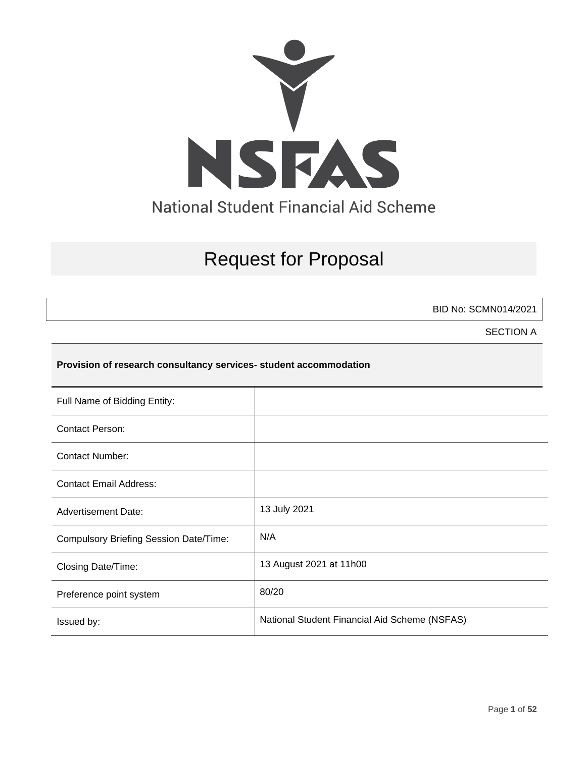

# Request for Proposal

BID No: SCMN014/2021

SECTION A

# **Provision of research consultancy services- student accommodation**

| Full Name of Bidding Entity:                  |                                               |
|-----------------------------------------------|-----------------------------------------------|
| <b>Contact Person:</b>                        |                                               |
| <b>Contact Number:</b>                        |                                               |
| <b>Contact Email Address:</b>                 |                                               |
| <b>Advertisement Date:</b>                    | 13 July 2021                                  |
| <b>Compulsory Briefing Session Date/Time:</b> | N/A                                           |
| Closing Date/Time:                            | 13 August 2021 at 11h00                       |
| Preference point system                       | 80/20                                         |
| Issued by:                                    | National Student Financial Aid Scheme (NSFAS) |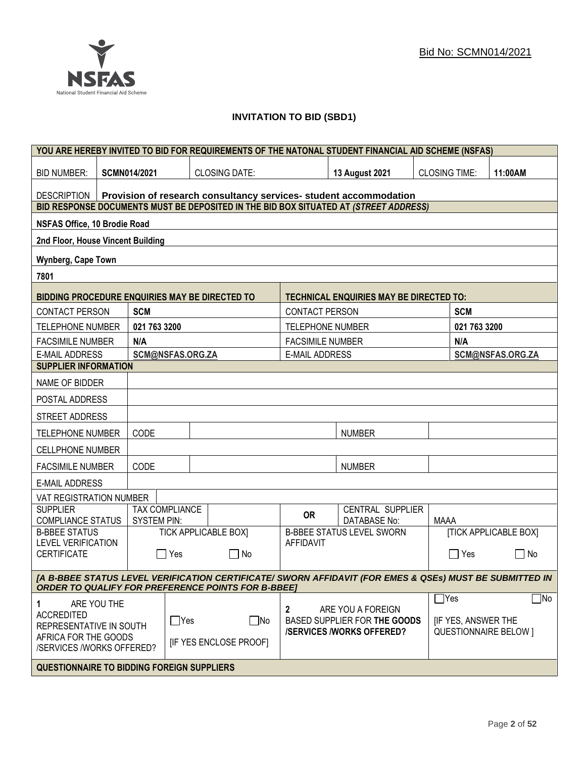# **INVITATION TO BID (SBD1)**

|                                                                                                                                                                      | YOU ARE HEREBY INVITED TO BID FOR REQUIREMENTS OF THE NATONAL STUDENT FINANCIAL AID SCHEME (NSFAS) |                  |                                 |                         |                                                                   |                              |                           |                              |
|----------------------------------------------------------------------------------------------------------------------------------------------------------------------|----------------------------------------------------------------------------------------------------|------------------|---------------------------------|-------------------------|-------------------------------------------------------------------|------------------------------|---------------------------|------------------------------|
| <b>BID NUMBER:</b>                                                                                                                                                   | SCMN014/2021                                                                                       |                  | <b>CLOSING DATE:</b>            |                         | 13 August 2021                                                    | <b>CLOSING TIME:</b>         |                           | 11:00AM                      |
| <b>DESCRIPTION</b>                                                                                                                                                   |                                                                                                    |                  |                                 |                         | Provision of research consultancy services- student accommodation |                              |                           |                              |
| BID RESPONSE DOCUMENTS MUST BE DEPOSITED IN THE BID BOX SITUATED AT (STREET ADDRESS)                                                                                 |                                                                                                    |                  |                                 |                         |                                                                   |                              |                           |                              |
| NSFAS Office, 10 Brodie Road                                                                                                                                         |                                                                                                    |                  |                                 |                         |                                                                   |                              |                           |                              |
| 2nd Floor, House Vincent Building                                                                                                                                    |                                                                                                    |                  |                                 |                         |                                                                   |                              |                           |                              |
| Wynberg, Cape Town                                                                                                                                                   |                                                                                                    |                  |                                 |                         |                                                                   |                              |                           |                              |
| 7801                                                                                                                                                                 |                                                                                                    |                  |                                 |                         |                                                                   |                              |                           |                              |
| <b>BIDDING PROCEDURE ENQUIRIES MAY BE DIRECTED TO</b>                                                                                                                |                                                                                                    |                  |                                 |                         | <b>TECHNICAL ENQUIRIES MAY BE DIRECTED TO:</b>                    |                              |                           |                              |
| <b>CONTACT PERSON</b>                                                                                                                                                | <b>SCM</b>                                                                                         |                  |                                 | <b>CONTACT PERSON</b>   |                                                                   |                              | <b>SCM</b>                |                              |
| <b>TELEPHONE NUMBER</b>                                                                                                                                              | 021 763 3200                                                                                       |                  |                                 | <b>TELEPHONE NUMBER</b> |                                                                   |                              | 021 763 3200              |                              |
| <b>FACSIMILE NUMBER</b>                                                                                                                                              | N/A                                                                                                |                  |                                 | <b>FACSIMILE NUMBER</b> |                                                                   |                              | N/A                       |                              |
| <b>E-MAIL ADDRESS</b>                                                                                                                                                |                                                                                                    | SCM@NSFAS.ORG.ZA |                                 | <b>E-MAIL ADDRESS</b>   |                                                                   |                              |                           | SCM@NSFAS.ORG.ZA             |
| <b>SUPPLIER INFORMATION</b>                                                                                                                                          |                                                                                                    |                  |                                 |                         |                                                                   |                              |                           |                              |
| NAME OF BIDDER                                                                                                                                                       |                                                                                                    |                  |                                 |                         |                                                                   |                              |                           |                              |
| POSTAL ADDRESS                                                                                                                                                       |                                                                                                    |                  |                                 |                         |                                                                   |                              |                           |                              |
| STREET ADDRESS                                                                                                                                                       |                                                                                                    |                  |                                 |                         |                                                                   |                              |                           |                              |
| <b>TELEPHONE NUMBER</b>                                                                                                                                              | CODE                                                                                               |                  |                                 |                         | <b>NUMBER</b>                                                     |                              |                           |                              |
| <b>CELLPHONE NUMBER</b>                                                                                                                                              |                                                                                                    |                  |                                 |                         |                                                                   |                              |                           |                              |
| <b>FACSIMILE NUMBER</b>                                                                                                                                              | CODE                                                                                               |                  |                                 |                         | <b>NUMBER</b>                                                     |                              |                           |                              |
| <b>E-MAIL ADDRESS</b>                                                                                                                                                |                                                                                                    |                  |                                 |                         |                                                                   |                              |                           |                              |
| VAT REGISTRATION NUMBER                                                                                                                                              |                                                                                                    |                  |                                 |                         |                                                                   |                              |                           |                              |
| <b>SUPPLIER</b><br><b>COMPLIANCE STATUS</b>                                                                                                                          | <b>SYSTEM PIN:</b>                                                                                 | TAX COMPLIANCE   |                                 | <b>OR</b>               | CENTRAL SUPPLIER<br>DATABASE No:                                  | MAAA                         |                           |                              |
| <b>B-BBEE STATUS</b>                                                                                                                                                 |                                                                                                    |                  | <b>TICK APPLICABLE BOXI</b>     |                         | <b>B-BBEE STATUS LEVEL SWORN</b>                                  |                              |                           | <b>[TICK APPLICABLE BOX]</b> |
| <b>LEVEL VERIFICATION</b><br><b>CERTIFICATE</b>                                                                                                                      |                                                                                                    | Yes              | $\Box$ No                       | <b>AFFIDAVIT</b>        |                                                                   |                              | Yes                       | No<br>$\mathcal{L}$          |
|                                                                                                                                                                      |                                                                                                    |                  |                                 |                         |                                                                   |                              |                           |                              |
| [A B-BBEE STATUS LEVEL VERIFICATION CERTIFICATE/ SWORN AFFIDAVIT (FOR EMES & QSEs) MUST BE SUBMITTED IN<br><b>ORDER TO QUALIFY FOR PREFERENCE POINTS FOR B-BBEE]</b> |                                                                                                    |                  |                                 |                         |                                                                   |                              |                           |                              |
| ARE YOU THE<br>1                                                                                                                                                     |                                                                                                    |                  |                                 |                         |                                                                   |                              | $\exists$ Yes             | $\exists$ No                 |
| <b>ACCREDITED</b>                                                                                                                                                    |                                                                                                    | $\Box$ Yes       | $\square$ No                    | $\mathbf{2}$            | ARE YOU A FOREIGN<br>BASED SUPPLIER FOR THE GOODS                 |                              | <b>IF YES, ANSWER THE</b> |                              |
| REPRESENTATIVE IN SOUTH                                                                                                                                              |                                                                                                    |                  | <b>/SERVICES/WORKS OFFERED?</b> |                         |                                                                   | <b>QUESTIONNAIRE BELOW 1</b> |                           |                              |
| AFRICA FOR THE GOODS<br>/SERVICES /WORKS OFFERED?                                                                                                                    |                                                                                                    |                  | [IF YES ENCLOSE PROOF]          |                         |                                                                   |                              |                           |                              |
| <b>QUESTIONNAIRE TO BIDDING FOREIGN SUPPLIERS</b>                                                                                                                    |                                                                                                    |                  |                                 |                         |                                                                   |                              |                           |                              |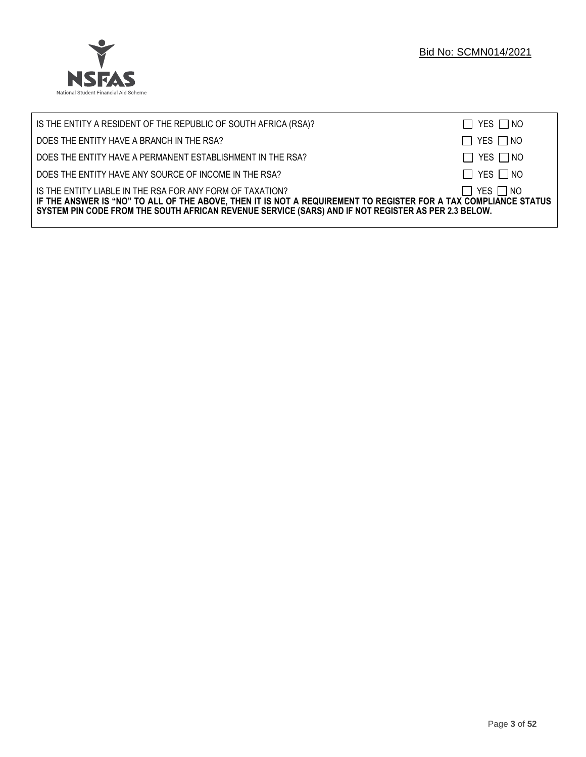

| IS THE ENTITY A RESIDENT OF THE REPUBLIC OF SOUTH AFRICA (RSA)?                                                                                                                                                                                                                     | $\Box$ YES $\Box$ NO |
|-------------------------------------------------------------------------------------------------------------------------------------------------------------------------------------------------------------------------------------------------------------------------------------|----------------------|
| DOES THE ENTITY HAVE A BRANCH IN THE RSA?                                                                                                                                                                                                                                           | $\Box$ YES $\Box$ NO |
| DOES THE ENTITY HAVE A PERMANENT ESTABLISHMENT IN THE RSA?                                                                                                                                                                                                                          | $\Box$ YES $\Box$ NO |
| DOES THE ENTITY HAVE ANY SOURCE OF INCOME IN THE RSA?                                                                                                                                                                                                                               | $\Box$ YES $\Box$ NO |
| IS THE ENTITY LIABLE IN THE RSA FOR ANY FORM OF TAXATION?<br>IF THE ANSWER IS "NO" TO ALL OF THE ABOVE, THEN IT IS NOT A REQUIREMENT TO REGISTER FOR A TAX COMPLIANCE STATUS<br>SYSTEM PIN CODE FROM THE SOUTH AFRICAN REVENUE SERVICE (SARS) AND IF NOT REGISTER AS PER 2.3 BELOW. | $\Box$ YES $\Box$ NO |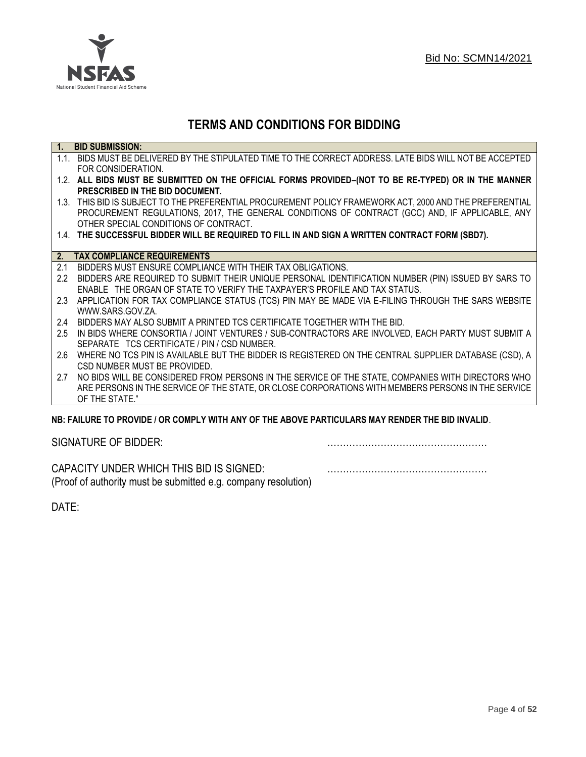

# **TERMS AND CONDITIONS FOR BIDDING**

| $\overline{1}$ . | <b>BID SUBMISSION:</b>                                                                                    |
|------------------|-----------------------------------------------------------------------------------------------------------|
|                  | 1.1. BIDS MUST BE DELIVERED BY THE STIPULATED TIME TO THE CORRECT ADDRESS. LATE BIDS WILL NOT BE ACCEPTED |
|                  | FOR CONSIDERATION.                                                                                        |
|                  | 1.2. ALL BIDS MUST BE SUBMITTED ON THE OFFICIAL FORMS PROVIDED-(NOT TO BE RE-TYPED) OR IN THE MANNER      |
|                  | PRESCRIBED IN THE BID DOCUMENT.                                                                           |
|                  | 1.3. THIS BID IS SUBJECT TO THE PREFERENTIAL PROCUREMENT POLICY FRAMEWORK ACT, 2000 AND THE PREFERENTIAL  |
|                  | PROCUREMENT REGULATIONS, 2017, THE GENERAL CONDITIONS OF CONTRACT (GCC) AND, IF APPLICABLE, ANY           |
|                  | OTHER SPECIAL CONDITIONS OF CONTRACT.                                                                     |
|                  | 1.4. THE SUCCESSFUL BIDDER WILL BE REQUIRED TO FILL IN AND SIGN A WRITTEN CONTRACT FORM (SBD7).           |
|                  |                                                                                                           |
| 2.               | <b>TAX COMPLIANCE REQUIREMENTS</b>                                                                        |
| 2.1              | BIDDERS MUST ENSURE COMPLIANCE WITH THEIR TAX OBLIGATIONS.                                                |
| $2.2\phantom{0}$ | BIDDERS ARE REQUIRED TO SUBMIT THEIR UNIQUE PERSONAL IDENTIFICATION NUMBER (PIN) ISSUED BY SARS TO        |
|                  | ENABLE THE ORGAN OF STATE TO VERIFY THE TAXPAYER'S PROFILE AND TAX STATUS.                                |
| 2.3              | APPLICATION FOR TAX COMPLIANCE STATUS (TCS) PIN MAY BE MADE VIA E-FILING THROUGH THE SARS WEBSITE         |
|                  | WWW.SARS.GOV.ZA.                                                                                          |
| 2.4              | BIDDERS MAY ALSO SUBMIT A PRINTED TCS CERTIFICATE TOGETHER WITH THE BID.                                  |
| 2.5              | IN BIDS WHERE CONSORTIA / JOINT VENTURES / SUB-CONTRACTORS ARE INVOLVED, EACH PARTY MUST SUBMIT A         |
|                  | SEPARATE TCS CERTIFICATE / PIN / CSD NUMBER.                                                              |
| 2.6              | WHERE NO TCS PIN IS AVAILABLE BUT THE BIDDER IS REGISTERED ON THE CENTRAL SUPPLIER DATABASE (CSD), A      |
|                  | CSD NUMBER MUST BE PROVIDED.                                                                              |
| 2.7              | NO BIDS WILL BE CONSIDERED FROM PERSONS IN THE SERVICE OF THE STATE, COMPANIES WITH DIRECTORS WHO         |
|                  | ARE PERSONS IN THE SERVICE OF THE STATE, OR CLOSE CORPORATIONS WITH MEMBERS PERSONS IN THE SERVICE        |
|                  | OF THE STATE."                                                                                            |
|                  | NR: EAII HDE TO DDOVIDE / OD COMDI V WITH ANY OF THE AROVE DADTICHI ADS MAY DENDED THE RID INVALID        |

# **NB: FAILURE TO PROVIDE / OR COMPLY WITH ANY OF THE ABOVE PARTICULARS MAY RENDER THE BID INVALID**.

|  | SIGNATURE OF BIDDER: |
|--|----------------------|
|--|----------------------|

SIGNATURE OF BIDDER: ……………………………………………

CAPACITY UNDER WHICH THIS BID IS SIGNED: …………………………………………… (Proof of authority must be submitted e.g. company resolution)

DATE: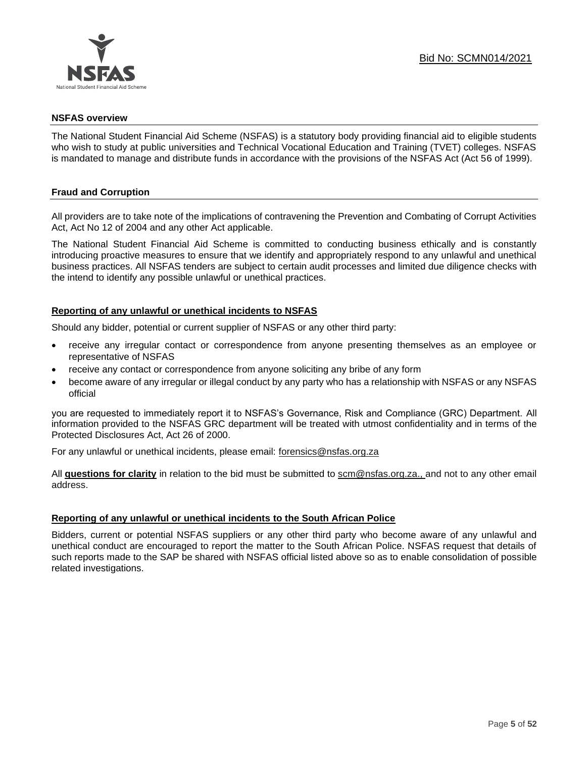

#### **NSFAS overview**

The National Student Financial Aid Scheme (NSFAS) is a statutory body providing financial aid to eligible students who wish to study at public universities and Technical Vocational Education and Training (TVET) colleges. NSFAS is mandated to manage and distribute funds in accordance with the provisions of the NSFAS Act (Act 56 of 1999).

# **Fraud and Corruption**

All providers are to take note of the implications of contravening the Prevention and Combating of Corrupt Activities Act, Act No 12 of 2004 and any other Act applicable.

The National Student Financial Aid Scheme is committed to conducting business ethically and is constantly introducing proactive measures to ensure that we identify and appropriately respond to any unlawful and unethical business practices. All NSFAS tenders are subject to certain audit processes and limited due diligence checks with the intend to identify any possible unlawful or unethical practices.

# **Reporting of any unlawful or unethical incidents to NSFAS**

Should any bidder, potential or current supplier of NSFAS or any other third party:

- receive any irregular contact or correspondence from anyone presenting themselves as an employee or representative of NSFAS
- receive any contact or correspondence from anyone soliciting any bribe of any form
- become aware of any irregular or illegal conduct by any party who has a relationship with NSFAS or any NSFAS official

you are requested to immediately report it to NSFAS's Governance, Risk and Compliance (GRC) Department. All information provided to the NSFAS GRC department will be treated with utmost confidentiality and in terms of the Protected Disclosures Act, Act 26 of 2000.

For any unlawful or unethical incidents, please email: [forensics@nsfas.org.za](mailto:forensics@nsfas.org.za)

All **questions for clarity** in relation to the bid must be submitted to [scm@nsfas.org.za.](mailto:scm@nsfas.org.za), and not to any other email address.

# **Reporting of any unlawful or unethical incidents to the South African Police**

Bidders, current or potential NSFAS suppliers or any other third party who become aware of any unlawful and unethical conduct are encouraged to report the matter to the South African Police. NSFAS request that details of such reports made to the SAP be shared with NSFAS official listed above so as to enable consolidation of possible related investigations.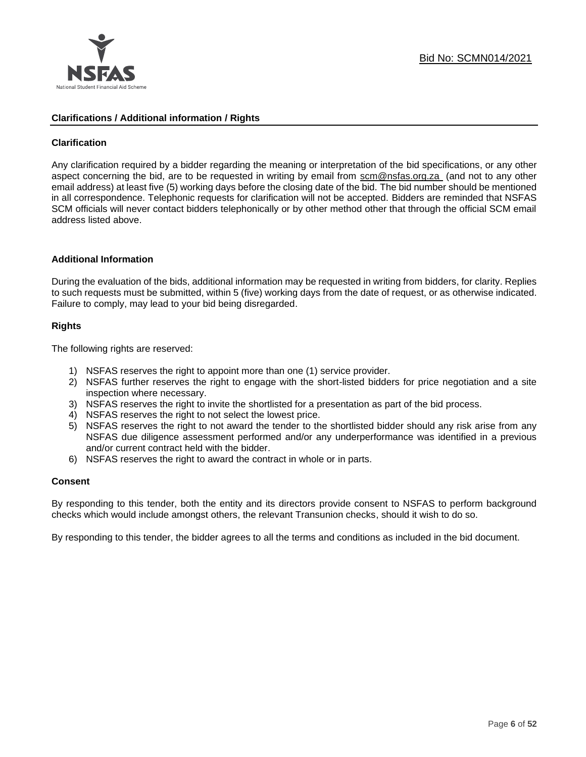

#### **Clarifications / Additional information / Rights**

# **Clarification**

Any clarification required by a bidder regarding the meaning or interpretation of the bid specifications, or any other aspect concerning the bid, are to be requested in writing by email from [scm@nsfas.org.za](mailto:scm@nsfas.org.za) (and not to any other email address) at least five (5) working days before the closing date of the bid. The bid number should be mentioned in all correspondence. Telephonic requests for clarification will not be accepted. Bidders are reminded that NSFAS SCM officials will never contact bidders telephonically or by other method other that through the official SCM email address listed above.

#### **Additional Information**

During the evaluation of the bids, additional information may be requested in writing from bidders, for clarity. Replies to such requests must be submitted, within 5 (five) working days from the date of request, or as otherwise indicated. Failure to comply, may lead to your bid being disregarded.

# **Rights**

The following rights are reserved:

- 1) NSFAS reserves the right to appoint more than one (1) service provider.
- 2) NSFAS further reserves the right to engage with the short-listed bidders for price negotiation and a site inspection where necessary.
- 3) NSFAS reserves the right to invite the shortlisted for a presentation as part of the bid process.
- 4) NSFAS reserves the right to not select the lowest price.
- 5) NSFAS reserves the right to not award the tender to the shortlisted bidder should any risk arise from any NSFAS due diligence assessment performed and/or any underperformance was identified in a previous and/or current contract held with the bidder.
- 6) NSFAS reserves the right to award the contract in whole or in parts.

#### **Consent**

By responding to this tender, both the entity and its directors provide consent to NSFAS to perform background checks which would include amongst others, the relevant Transunion checks, should it wish to do so.

By responding to this tender, the bidder agrees to all the terms and conditions as included in the bid document.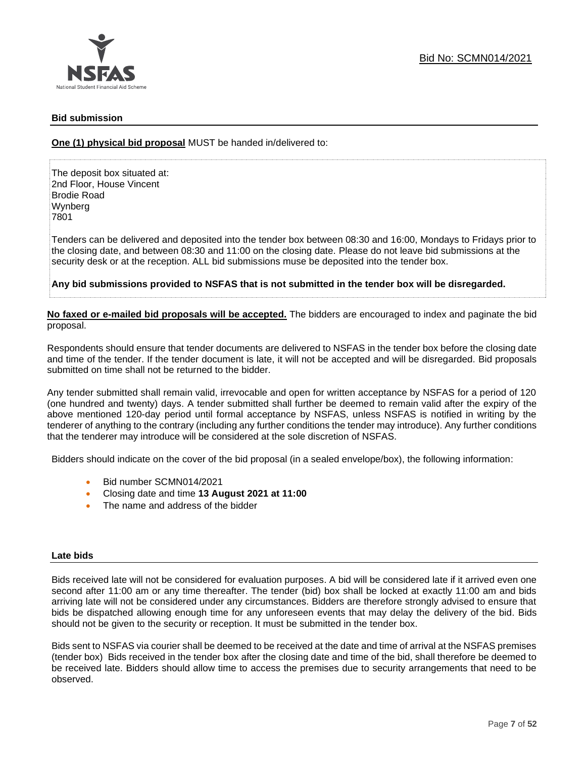

# **Bid submission**

**One (1) physical bid proposal** MUST be handed in/delivered to:

The deposit box situated at: 2nd Floor, House Vincent Brodie Road Wynberg 7801

Tenders can be delivered and deposited into the tender box between 08:30 and 16:00, Mondays to Fridays prior to the closing date, and between 08:30 and 11:00 on the closing date. Please do not leave bid submissions at the security desk or at the reception. ALL bid submissions muse be deposited into the tender box.

**Any bid submissions provided to NSFAS that is not submitted in the tender box will be disregarded.**

**No faxed or e-mailed bid proposals will be accepted.** The bidders are encouraged to index and paginate the bid proposal.

Respondents should ensure that tender documents are delivered to NSFAS in the tender box before the closing date and time of the tender. If the tender document is late, it will not be accepted and will be disregarded. Bid proposals submitted on time shall not be returned to the bidder.

Any tender submitted shall remain valid, irrevocable and open for written acceptance by NSFAS for a period of 120 (one hundred and twenty) days. A tender submitted shall further be deemed to remain valid after the expiry of the above mentioned 120-day period until formal acceptance by NSFAS, unless NSFAS is notified in writing by the tenderer of anything to the contrary (including any further conditions the tender may introduce). Any further conditions that the tenderer may introduce will be considered at the sole discretion of NSFAS.

Bidders should indicate on the cover of the bid proposal (in a sealed envelope/box), the following information:

- Bid number SCMN014/2021
- Closing date and time **13 August 2021 at 11:00**
- The name and address of the bidder

#### **Late bids**

Bids received late will not be considered for evaluation purposes. A bid will be considered late if it arrived even one second after 11:00 am or any time thereafter. The tender (bid) box shall be locked at exactly 11:00 am and bids arriving late will not be considered under any circumstances. Bidders are therefore strongly advised to ensure that bids be dispatched allowing enough time for any unforeseen events that may delay the delivery of the bid. Bids should not be given to the security or reception. It must be submitted in the tender box.

Bids sent to NSFAS via courier shall be deemed to be received at the date and time of arrival at the NSFAS premises (tender box) Bids received in the tender box after the closing date and time of the bid, shall therefore be deemed to be received late. Bidders should allow time to access the premises due to security arrangements that need to be observed.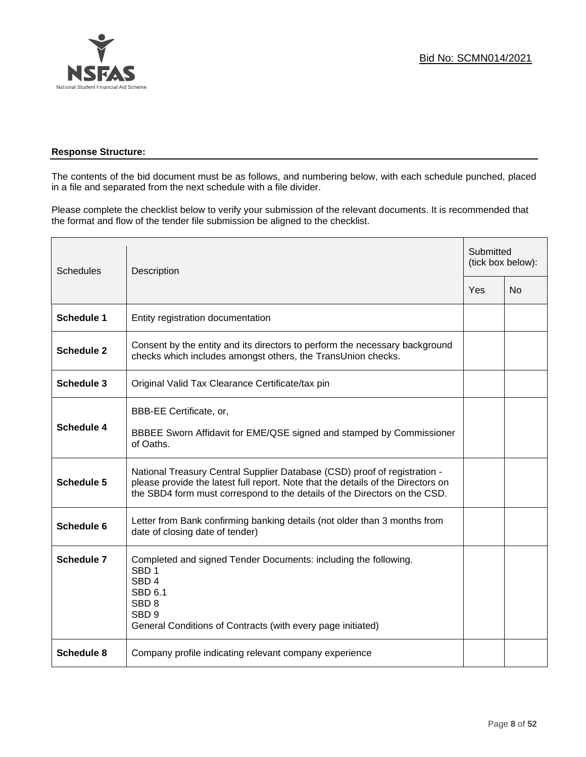

# **Response Structure:**

The contents of the bid document must be as follows, and numbering below, with each schedule punched, placed in a file and separated from the next schedule with a file divider.

Please complete the checklist below to verify your submission of the relevant documents. It is recommended that the format and flow of the tender file submission be aligned to the checklist.

| <b>Schedules</b>  | Description                                                                                                                                                                                                                                |     | Submitted<br>(tick box below): |  |
|-------------------|--------------------------------------------------------------------------------------------------------------------------------------------------------------------------------------------------------------------------------------------|-----|--------------------------------|--|
|                   |                                                                                                                                                                                                                                            | Yes | <b>No</b>                      |  |
| <b>Schedule 1</b> | Entity registration documentation                                                                                                                                                                                                          |     |                                |  |
| <b>Schedule 2</b> | Consent by the entity and its directors to perform the necessary background<br>checks which includes amongst others, the TransUnion checks.                                                                                                |     |                                |  |
| <b>Schedule 3</b> | Original Valid Tax Clearance Certificate/tax pin                                                                                                                                                                                           |     |                                |  |
| <b>Schedule 4</b> | BBB-EE Certificate, or,<br>BBBEE Sworn Affidavit for EME/QSE signed and stamped by Commissioner<br>of Oaths.                                                                                                                               |     |                                |  |
| <b>Schedule 5</b> | National Treasury Central Supplier Database (CSD) proof of registration -<br>please provide the latest full report. Note that the details of the Directors on<br>the SBD4 form must correspond to the details of the Directors on the CSD. |     |                                |  |
| Schedule 6        | Letter from Bank confirming banking details (not older than 3 months from<br>date of closing date of tender)                                                                                                                               |     |                                |  |
| Schedule 7        | Completed and signed Tender Documents: including the following.<br>SBD <sub>1</sub><br>SBD <sub>4</sub><br>SBD <sub>6.1</sub><br>SBD <sub>8</sub><br>SBD <sub>9</sub><br>General Conditions of Contracts (with every page initiated)       |     |                                |  |
| <b>Schedule 8</b> | Company profile indicating relevant company experience                                                                                                                                                                                     |     |                                |  |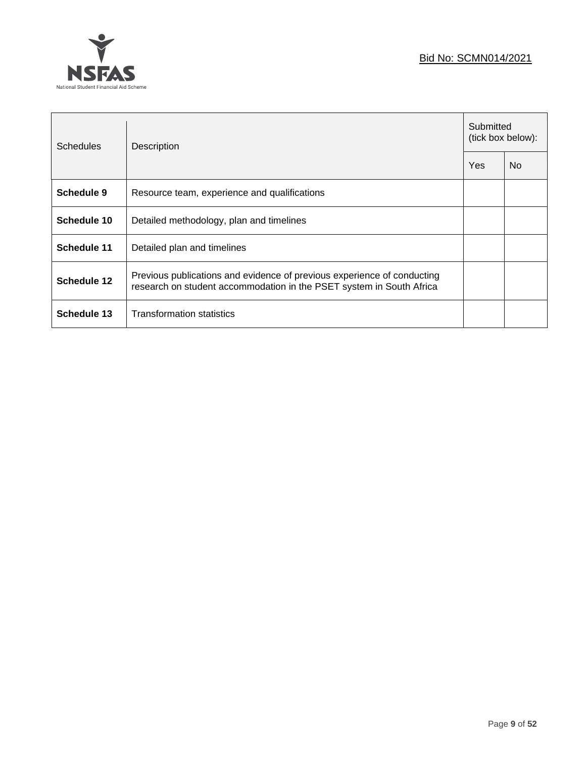

 $\overline{ }$ 

| Schedules   | Description                                                                                                                                     |  | Submitted<br>(tick box below): |  |
|-------------|-------------------------------------------------------------------------------------------------------------------------------------------------|--|--------------------------------|--|
|             |                                                                                                                                                 |  | N <sub>0</sub>                 |  |
| Schedule 9  | Resource team, experience and qualifications                                                                                                    |  |                                |  |
| Schedule 10 | Detailed methodology, plan and timelines                                                                                                        |  |                                |  |
| Schedule 11 | Detailed plan and timelines                                                                                                                     |  |                                |  |
| Schedule 12 | Previous publications and evidence of previous experience of conducting<br>research on student accommodation in the PSET system in South Africa |  |                                |  |
| Schedule 13 | <b>Transformation statistics</b>                                                                                                                |  |                                |  |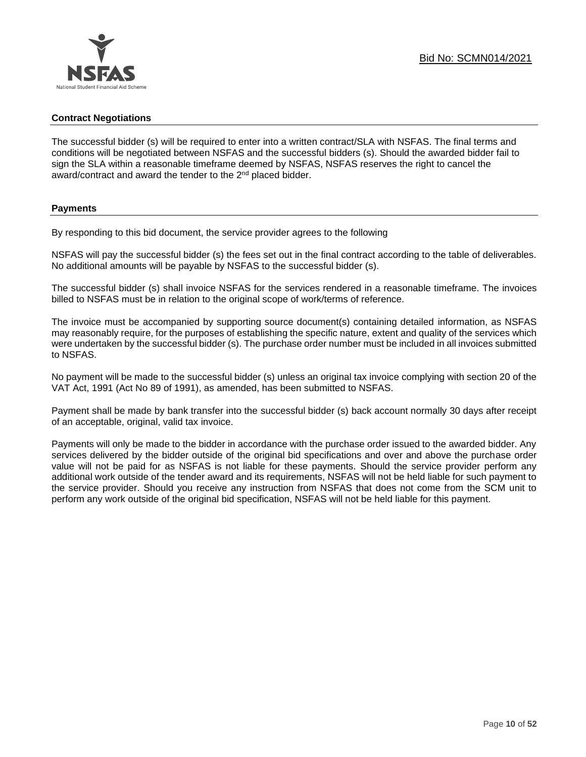# **Contract Negotiations**

The successful bidder (s) will be required to enter into a written contract/SLA with NSFAS. The final terms and conditions will be negotiated between NSFAS and the successful bidders (s). Should the awarded bidder fail to sign the SLA within a reasonable timeframe deemed by NSFAS, NSFAS reserves the right to cancel the award/contract and award the tender to the 2<sup>nd</sup> placed bidder.

# **Payments**

By responding to this bid document, the service provider agrees to the following

NSFAS will pay the successful bidder (s) the fees set out in the final contract according to the table of deliverables. No additional amounts will be payable by NSFAS to the successful bidder (s).

The successful bidder (s) shall invoice NSFAS for the services rendered in a reasonable timeframe. The invoices billed to NSFAS must be in relation to the original scope of work/terms of reference.

The invoice must be accompanied by supporting source document(s) containing detailed information, as NSFAS may reasonably require, for the purposes of establishing the specific nature, extent and quality of the services which were undertaken by the successful bidder (s). The purchase order number must be included in all invoices submitted to NSFAS.

No payment will be made to the successful bidder (s) unless an original tax invoice complying with section 20 of the VAT Act, 1991 (Act No 89 of 1991), as amended, has been submitted to NSFAS.

Payment shall be made by bank transfer into the successful bidder (s) back account normally 30 days after receipt of an acceptable, original, valid tax invoice.

Payments will only be made to the bidder in accordance with the purchase order issued to the awarded bidder. Any services delivered by the bidder outside of the original bid specifications and over and above the purchase order value will not be paid for as NSFAS is not liable for these payments. Should the service provider perform any additional work outside of the tender award and its requirements, NSFAS will not be held liable for such payment to the service provider. Should you receive any instruction from NSFAS that does not come from the SCM unit to perform any work outside of the original bid specification, NSFAS will not be held liable for this payment.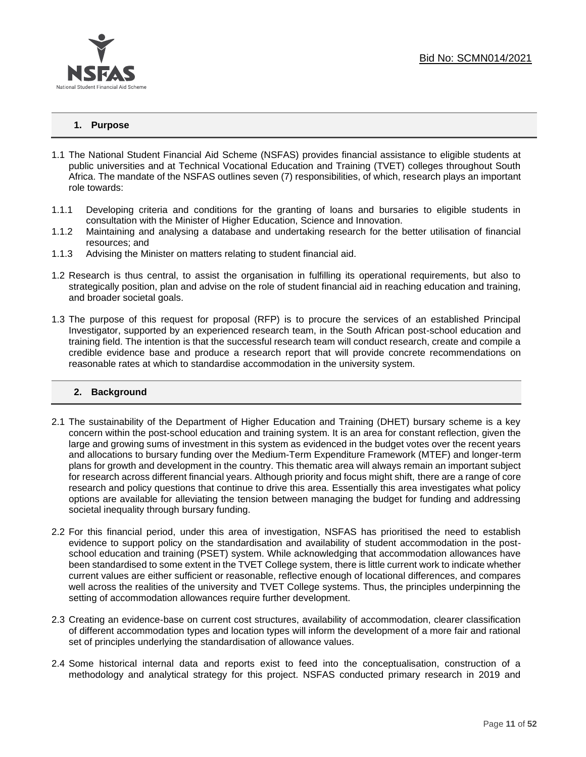# **1. Purpose**

- 1.1 The National Student Financial Aid Scheme (NSFAS) provides financial assistance to eligible students at public universities and at Technical Vocational Education and Training (TVET) colleges throughout South Africa. The mandate of the NSFAS outlines seven (7) responsibilities, of which, research plays an important role towards:
- 1.1.1 Developing criteria and conditions for the granting of loans and bursaries to eligible students in consultation with the Minister of Higher Education, Science and Innovation.
- 1.1.2 Maintaining and analysing a database and undertaking research for the better utilisation of financial resources; and
- 1.1.3 Advising the Minister on matters relating to student financial aid.
- 1.2 Research is thus central, to assist the organisation in fulfilling its operational requirements, but also to strategically position, plan and advise on the role of student financial aid in reaching education and training, and broader societal goals.
- 1.3 The purpose of this request for proposal (RFP) is to procure the services of an established Principal Investigator, supported by an experienced research team, in the South African post-school education and training field. The intention is that the successful research team will conduct research, create and compile a credible evidence base and produce a research report that will provide concrete recommendations on reasonable rates at which to standardise accommodation in the university system.

#### **2. Background**

- 2.1 The sustainability of the Department of Higher Education and Training (DHET) bursary scheme is a key concern within the post-school education and training system. It is an area for constant reflection, given the large and growing sums of investment in this system as evidenced in the budget votes over the recent years and allocations to bursary funding over the Medium-Term Expenditure Framework (MTEF) and longer-term plans for growth and development in the country. This thematic area will always remain an important subject for research across different financial years. Although priority and focus might shift, there are a range of core research and policy questions that continue to drive this area. Essentially this area investigates what policy options are available for alleviating the tension between managing the budget for funding and addressing societal inequality through bursary funding.
- 2.2 For this financial period, under this area of investigation, NSFAS has prioritised the need to establish evidence to support policy on the standardisation and availability of student accommodation in the postschool education and training (PSET) system. While acknowledging that accommodation allowances have been standardised to some extent in the TVET College system, there is little current work to indicate whether current values are either sufficient or reasonable, reflective enough of locational differences, and compares well across the realities of the university and TVET College systems. Thus, the principles underpinning the setting of accommodation allowances require further development.
- 2.3 Creating an evidence-base on current cost structures, availability of accommodation, clearer classification of different accommodation types and location types will inform the development of a more fair and rational set of principles underlying the standardisation of allowance values.
- 2.4 Some historical internal data and reports exist to feed into the conceptualisation, construction of a methodology and analytical strategy for this project. NSFAS conducted primary research in 2019 and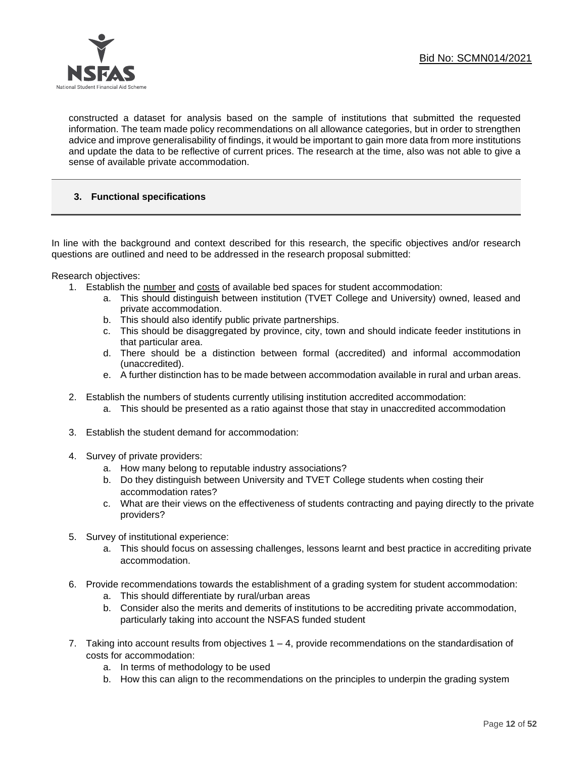

constructed a dataset for analysis based on the sample of institutions that submitted the requested information. The team made policy recommendations on all allowance categories, but in order to strengthen advice and improve generalisability of findings, it would be important to gain more data from more institutions and update the data to be reflective of current prices. The research at the time, also was not able to give a sense of available private accommodation.

# **3. Functional specifications**

In line with the background and context described for this research, the specific objectives and/or research questions are outlined and need to be addressed in the research proposal submitted:

Research objectives:

- 1. Establish the number and costs of available bed spaces for student accommodation:
	- a. This should distinguish between institution (TVET College and University) owned, leased and private accommodation.
	- b. This should also identify public private partnerships.
	- c. This should be disaggregated by province, city, town and should indicate feeder institutions in that particular area.
	- d. There should be a distinction between formal (accredited) and informal accommodation (unaccredited).
	- e. A further distinction has to be made between accommodation available in rural and urban areas.
- 2. Establish the numbers of students currently utilising institution accredited accommodation:
	- a. This should be presented as a ratio against those that stay in unaccredited accommodation
- 3. Establish the student demand for accommodation:
- 4. Survey of private providers:
	- a. How many belong to reputable industry associations?
	- b. Do they distinguish between University and TVET College students when costing their accommodation rates?
	- c. What are their views on the effectiveness of students contracting and paying directly to the private providers?
- 5. Survey of institutional experience:
	- a. This should focus on assessing challenges, lessons learnt and best practice in accrediting private accommodation.
- 6. Provide recommendations towards the establishment of a grading system for student accommodation:
	- a. This should differentiate by rural/urban areas
	- b. Consider also the merits and demerits of institutions to be accrediting private accommodation, particularly taking into account the NSFAS funded student
- 7. Taking into account results from objectives  $1 4$ , provide recommendations on the standardisation of costs for accommodation:
	- a. In terms of methodology to be used
	- b. How this can align to the recommendations on the principles to underpin the grading system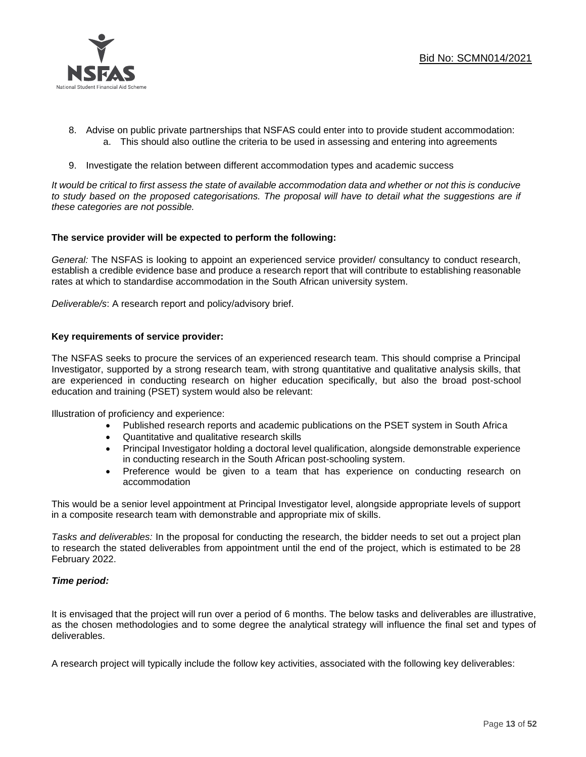

- 8. Advise on public private partnerships that NSFAS could enter into to provide student accommodation: a. This should also outline the criteria to be used in assessing and entering into agreements
- 9. Investigate the relation between different accommodation types and academic success

*It would be critical to first assess the state of available accommodation data and whether or not this is conducive*  to study based on the proposed categorisations. The proposal will have to detail what the suggestions are if *these categories are not possible.*

#### **The service provider will be expected to perform the following:**

*General:* The NSFAS is looking to appoint an experienced service provider/ consultancy to conduct research, establish a credible evidence base and produce a research report that will contribute to establishing reasonable rates at which to standardise accommodation in the South African university system.

*Deliverable/s*: A research report and policy/advisory brief.

# **Key requirements of service provider:**

The NSFAS seeks to procure the services of an experienced research team. This should comprise a Principal Investigator, supported by a strong research team, with strong quantitative and qualitative analysis skills, that are experienced in conducting research on higher education specifically, but also the broad post-school education and training (PSET) system would also be relevant:

Illustration of proficiency and experience:

- Published research reports and academic publications on the PSET system in South Africa
- Quantitative and qualitative research skills
- Principal Investigator holding a doctoral level qualification, alongside demonstrable experience in conducting research in the South African post-schooling system.
- Preference would be given to a team that has experience on conducting research on accommodation

This would be a senior level appointment at Principal Investigator level, alongside appropriate levels of support in a composite research team with demonstrable and appropriate mix of skills.

*Tasks and deliverables:* In the proposal for conducting the research, the bidder needs to set out a project plan to research the stated deliverables from appointment until the end of the project, which is estimated to be 28 February 2022.

#### *Time period:*

It is envisaged that the project will run over a period of 6 months. The below tasks and deliverables are illustrative, as the chosen methodologies and to some degree the analytical strategy will influence the final set and types of deliverables.

A research project will typically include the follow key activities, associated with the following key deliverables: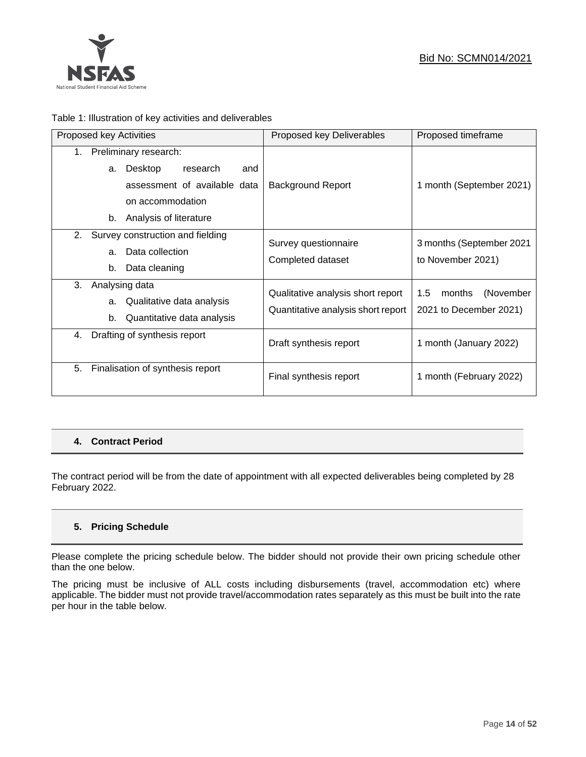

# Table 1: Illustration of key activities and deliverables

| Proposed key Activities                                                                                                                                  | Proposed key Deliverables                                               | Proposed timeframe                                   |
|----------------------------------------------------------------------------------------------------------------------------------------------------------|-------------------------------------------------------------------------|------------------------------------------------------|
| Preliminary research:<br>$1_{-}$<br>Desktop<br>research<br>and<br>a.<br>assessment of available data<br>on accommodation<br>Analysis of literature<br>b. | Background Report                                                       | 1 month (September 2021)                             |
| 2.<br>Survey construction and fielding<br>Data collection<br>a.<br>Data cleaning<br>b.                                                                   | Survey questionnaire<br>Completed dataset                               | 3 months (September 2021<br>to November 2021)        |
| 3.<br>Analysing data<br>Qualitative data analysis<br>a.<br>Quantitative data analysis<br>b.                                                              | Qualitative analysis short report<br>Quantitative analysis short report | 1.5<br>(November<br>months<br>2021 to December 2021) |
| Drafting of synthesis report<br>4.                                                                                                                       | Draft synthesis report                                                  | 1 month (January 2022)                               |
| 5.<br>Finalisation of synthesis report                                                                                                                   | Final synthesis report                                                  | 1 month (February 2022)                              |

# **4. Contract Period**

The contract period will be from the date of appointment with all expected deliverables being completed by 28 February 2022.

# **5. Pricing Schedule**

Please complete the pricing schedule below. The bidder should not provide their own pricing schedule other than the one below.

The pricing must be inclusive of ALL costs including disbursements (travel, accommodation etc) where applicable. The bidder must not provide travel/accommodation rates separately as this must be built into the rate per hour in the table below.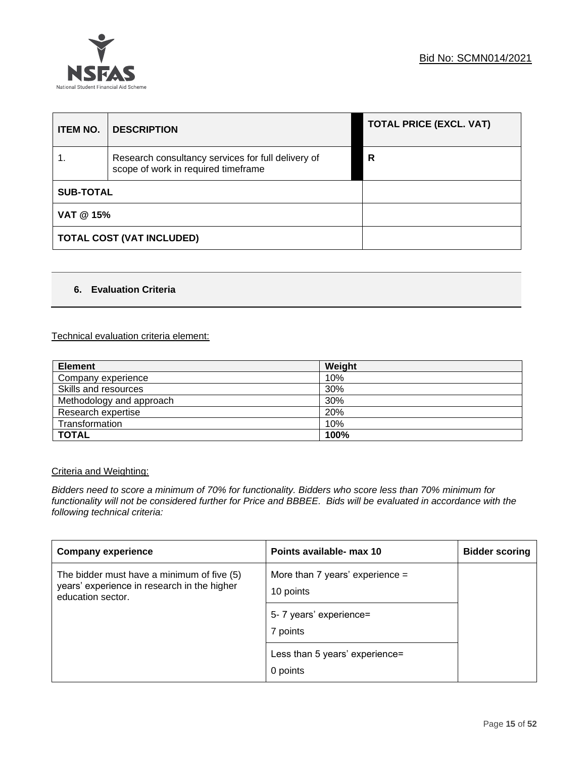

| <b>ITEM NO.</b>  | <b>DESCRIPTION</b>                                                                        | <b>TOTAL PRICE (EXCL. VAT)</b> |
|------------------|-------------------------------------------------------------------------------------------|--------------------------------|
|                  | Research consultancy services for full delivery of<br>scope of work in required timeframe | R                              |
| <b>SUB-TOTAL</b> |                                                                                           |                                |
| VAT @ 15%        |                                                                                           |                                |
|                  | <b>TOTAL COST (VAT INCLUDED)</b>                                                          |                                |

# **6. Evaluation Criteria**

# Technical evaluation criteria element:

| <b>Element</b>           | Weight |
|--------------------------|--------|
| Company experience       | 10%    |
| Skills and resources     | 30%    |
| Methodology and approach | 30%    |
| Research expertise       | 20%    |
| Transformation           | 10%    |
| <b>TOTAL</b>             | 100%   |

# Criteria and Weighting:

*Bidders need to score a minimum of 70% for functionality. Bidders who score less than 70% minimum for functionality will not be considered further for Price and BBBEE. Bids will be evaluated in accordance with the following technical criteria:*

| <b>Company experience</b>                                                                                      | Points available- max 10                       | <b>Bidder scoring</b> |
|----------------------------------------------------------------------------------------------------------------|------------------------------------------------|-----------------------|
| The bidder must have a minimum of five (5)<br>years' experience in research in the higher<br>education sector. | More than 7 years' experience $=$<br>10 points |                       |
|                                                                                                                | 5- 7 years' experience=                        |                       |
|                                                                                                                | 7 points                                       |                       |
|                                                                                                                | Less than 5 years' experience=<br>0 points     |                       |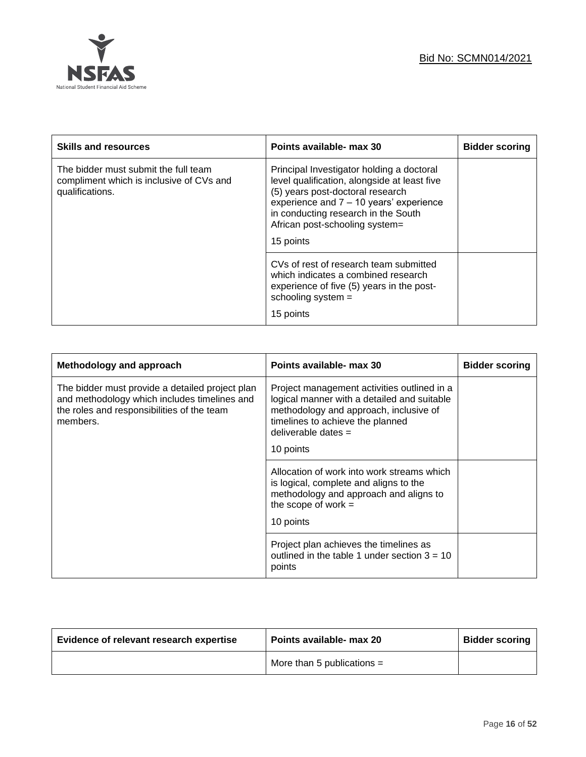

| <b>Skills and resources</b>                                                                         | Points available- max 30                                                                                                                                                                                                                                       | <b>Bidder scoring</b> |
|-----------------------------------------------------------------------------------------------------|----------------------------------------------------------------------------------------------------------------------------------------------------------------------------------------------------------------------------------------------------------------|-----------------------|
| The bidder must submit the full team<br>compliment which is inclusive of CVs and<br>qualifications. | Principal Investigator holding a doctoral<br>level qualification, alongside at least five<br>(5) years post-doctoral research<br>experience and 7 - 10 years' experience<br>in conducting research in the South<br>African post-schooling system=<br>15 points |                       |
|                                                                                                     | CVs of rest of research team submitted<br>which indicates a combined research<br>experience of five (5) years in the post-<br>schooling system =<br>15 points                                                                                                  |                       |

| Methodology and approach                                                                                                                                  | Points available- max 30                                                                                                                                                                                       | <b>Bidder scoring</b> |
|-----------------------------------------------------------------------------------------------------------------------------------------------------------|----------------------------------------------------------------------------------------------------------------------------------------------------------------------------------------------------------------|-----------------------|
| The bidder must provide a detailed project plan<br>and methodology which includes timelines and<br>the roles and responsibilities of the team<br>members. | Project management activities outlined in a<br>logical manner with a detailed and suitable<br>methodology and approach, inclusive of<br>timelines to achieve the planned<br>deliverable dates $=$<br>10 points |                       |
|                                                                                                                                                           | Allocation of work into work streams which<br>is logical, complete and aligns to the<br>methodology and approach and aligns to<br>the scope of work $=$<br>10 points                                           |                       |
|                                                                                                                                                           | Project plan achieves the timelines as<br>outlined in the table 1 under section $3 = 10$<br>points                                                                                                             |                       |

| Evidence of relevant research expertise | Points available- max 20     | <b>Bidder scoring</b> |
|-----------------------------------------|------------------------------|-----------------------|
|                                         | More than 5 publications $=$ |                       |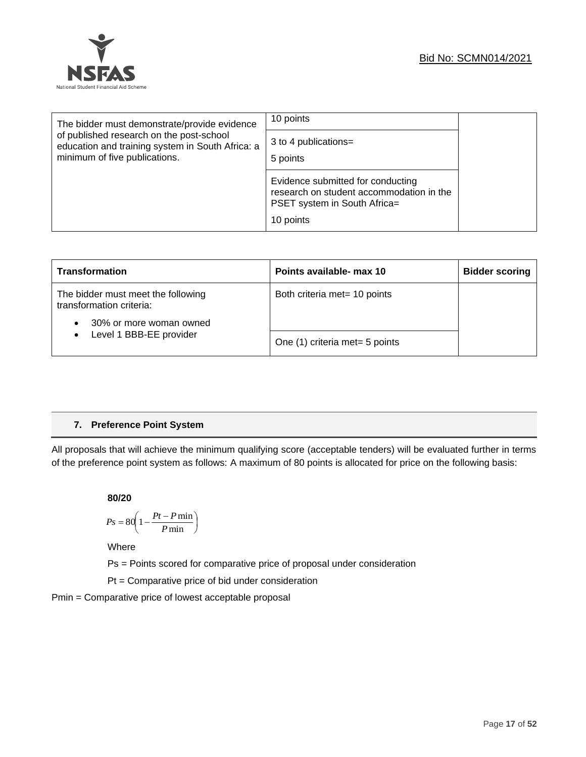

| The bidder must demonstrate/provide evidence                                                 | 10 points                                                                                                     |
|----------------------------------------------------------------------------------------------|---------------------------------------------------------------------------------------------------------------|
| of published research on the post-school<br>education and training system in South Africa: a | 3 to 4 publications=                                                                                          |
| minimum of five publications.                                                                | 5 points                                                                                                      |
|                                                                                              | Evidence submitted for conducting<br>research on student accommodation in the<br>PSET system in South Africa= |
|                                                                                              | 10 points                                                                                                     |

| <b>Transformation</b>                                                                     | Points available- max 10       | <b>Bidder scoring</b> |
|-------------------------------------------------------------------------------------------|--------------------------------|-----------------------|
| The bidder must meet the following<br>transformation criteria:<br>30% or more woman owned | Both criteria met= 10 points   |                       |
| Level 1 BBB-EE provider<br>$\bullet$                                                      | One (1) criteria met= 5 points |                       |

# **7. Preference Point System**

All proposals that will achieve the minimum qualifying score (acceptable tenders) will be evaluated further in terms of the preference point system as follows: A maximum of 80 points is allocated for price on the following basis:

#### **80/20**

$$
Ps = 80 \left( 1 - \frac{Pt - P \min}{P \min} \right)
$$

Where

Ps = Points scored for comparative price of proposal under consideration

Pt = Comparative price of bid under consideration

Pmin = Comparative price of lowest acceptable proposal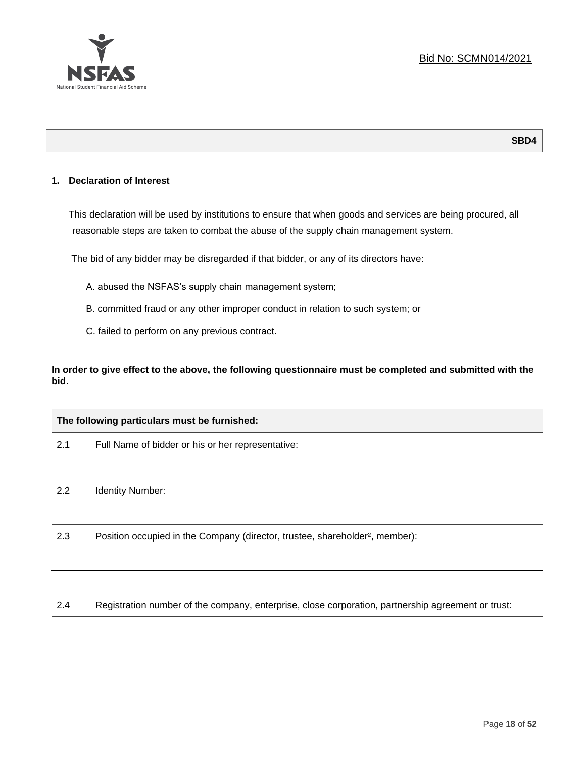

# **SBD4**

# **1. Declaration of Interest**

This declaration will be used by institutions to ensure that when goods and services are being procured, all reasonable steps are taken to combat the abuse of the supply chain management system.

The bid of any bidder may be disregarded if that bidder, or any of its directors have:

- A. abused the NSFAS's supply chain management system;
- B. committed fraud or any other improper conduct in relation to such system; or
- C. failed to perform on any previous contract.

**In order to give effect to the above, the following questionnaire must be completed and submitted with the bid**.

| The following particulars must be furnished: |                                                                                          |  |  |  |
|----------------------------------------------|------------------------------------------------------------------------------------------|--|--|--|
| 2.1                                          | Full Name of bidder or his or her representative:                                        |  |  |  |
|                                              |                                                                                          |  |  |  |
| 2.2                                          | <b>Identity Number:</b>                                                                  |  |  |  |
|                                              |                                                                                          |  |  |  |
| 2.3                                          | Position occupied in the Company (director, trustee, shareholder <sup>2</sup> , member): |  |  |  |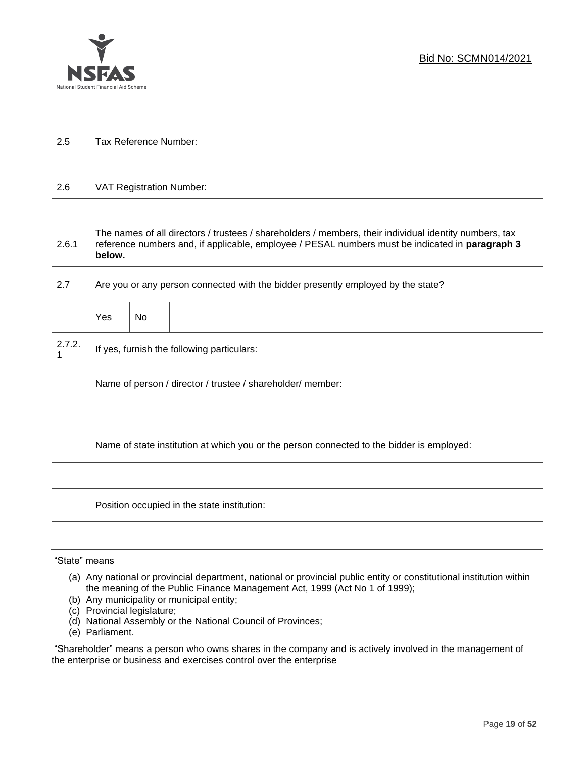

| $\Omega$<br>ن.∠ | Tax Reference Number: |
|-----------------|-----------------------|
|                 |                       |

| 2.6 | VAT Registration Number: |
|-----|--------------------------|
|-----|--------------------------|

| 2.6.1  | The names of all directors / trustees / shareholders / members, their individual identity numbers, tax<br>reference numbers and, if applicable, employee / PESAL numbers must be indicated in paragraph 3<br>below. |     |  |  |  |
|--------|---------------------------------------------------------------------------------------------------------------------------------------------------------------------------------------------------------------------|-----|--|--|--|
| 2.7    | Are you or any person connected with the bidder presently employed by the state?                                                                                                                                    |     |  |  |  |
|        | Yes                                                                                                                                                                                                                 | No. |  |  |  |
| 2.7.2. | If yes, furnish the following particulars:                                                                                                                                                                          |     |  |  |  |
|        | Name of person / director / trustee / shareholder/ member:                                                                                                                                                          |     |  |  |  |

| Name of state institution at which you or the person connected to the bidder is employed: |
|-------------------------------------------------------------------------------------------|
|                                                                                           |

Position occupied in the state institution:

#### "State" means

- (a) Any national or provincial department, national or provincial public entity or constitutional institution within the meaning of the Public Finance Management Act, 1999 (Act No 1 of 1999);
- (b) Any municipality or municipal entity;
- (c) Provincial legislature;
- (d) National Assembly or the National Council of Provinces;
- (e) Parliament.

"Shareholder" means a person who owns shares in the company and is actively involved in the management of the enterprise or business and exercises control over the enterprise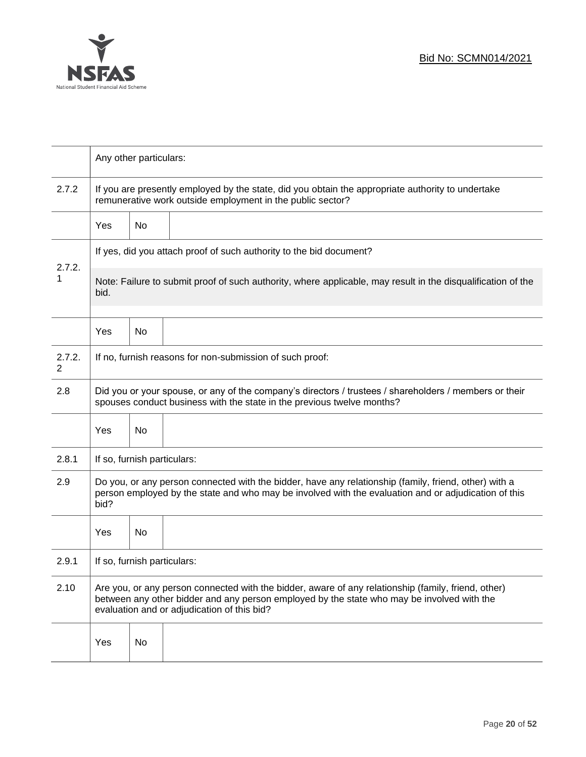

|             | Any other particulars:                                                                                                                                                                                                                           |    |  |  |
|-------------|--------------------------------------------------------------------------------------------------------------------------------------------------------------------------------------------------------------------------------------------------|----|--|--|
| 2.7.2       | If you are presently employed by the state, did you obtain the appropriate authority to undertake<br>remunerative work outside employment in the public sector?                                                                                  |    |  |  |
|             | Yes                                                                                                                                                                                                                                              | No |  |  |
|             | If yes, did you attach proof of such authority to the bid document?                                                                                                                                                                              |    |  |  |
| 2.7.2.<br>1 | Note: Failure to submit proof of such authority, where applicable, may result in the disqualification of the<br>bid.                                                                                                                             |    |  |  |
|             | Yes                                                                                                                                                                                                                                              | No |  |  |
| 2.7.2.<br>2 | If no, furnish reasons for non-submission of such proof:                                                                                                                                                                                         |    |  |  |
| 2.8         | Did you or your spouse, or any of the company's directors / trustees / shareholders / members or their<br>spouses conduct business with the state in the previous twelve months?                                                                 |    |  |  |
|             | Yes                                                                                                                                                                                                                                              | No |  |  |
| 2.8.1       | If so, furnish particulars:                                                                                                                                                                                                                      |    |  |  |
| 2.9         | Do you, or any person connected with the bidder, have any relationship (family, friend, other) with a<br>person employed by the state and who may be involved with the evaluation and or adjudication of this<br>bid?                            |    |  |  |
|             | Yes                                                                                                                                                                                                                                              | No |  |  |
| 2.9.1       | If so, furnish particulars:                                                                                                                                                                                                                      |    |  |  |
| 2.10        | Are you, or any person connected with the bidder, aware of any relationship (family, friend, other)<br>between any other bidder and any person employed by the state who may be involved with the<br>evaluation and or adjudication of this bid? |    |  |  |
|             | Yes                                                                                                                                                                                                                                              | No |  |  |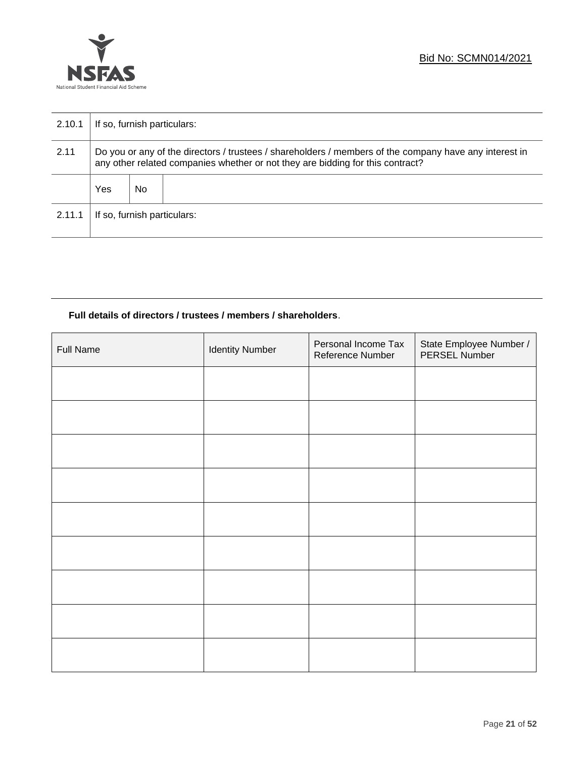

| 2.10.1 | If so, furnish particulars:                                                                                                                                                              |     |  |  |
|--------|------------------------------------------------------------------------------------------------------------------------------------------------------------------------------------------|-----|--|--|
| 2.11   | Do you or any of the directors / trustees / shareholders / members of the company have any interest in<br>any other related companies whether or not they are bidding for this contract? |     |  |  |
|        | Yes                                                                                                                                                                                      | No. |  |  |
| 2.11.1 | If so, furnish particulars:                                                                                                                                                              |     |  |  |

# **Full details of directors / trustees / members / shareholders**.

| Full Name | <b>Identity Number</b> | Personal Income Tax<br>Reference Number | State Employee Number /<br>PERSEL Number |
|-----------|------------------------|-----------------------------------------|------------------------------------------|
|           |                        |                                         |                                          |
|           |                        |                                         |                                          |
|           |                        |                                         |                                          |
|           |                        |                                         |                                          |
|           |                        |                                         |                                          |
|           |                        |                                         |                                          |
|           |                        |                                         |                                          |
|           |                        |                                         |                                          |
|           |                        |                                         |                                          |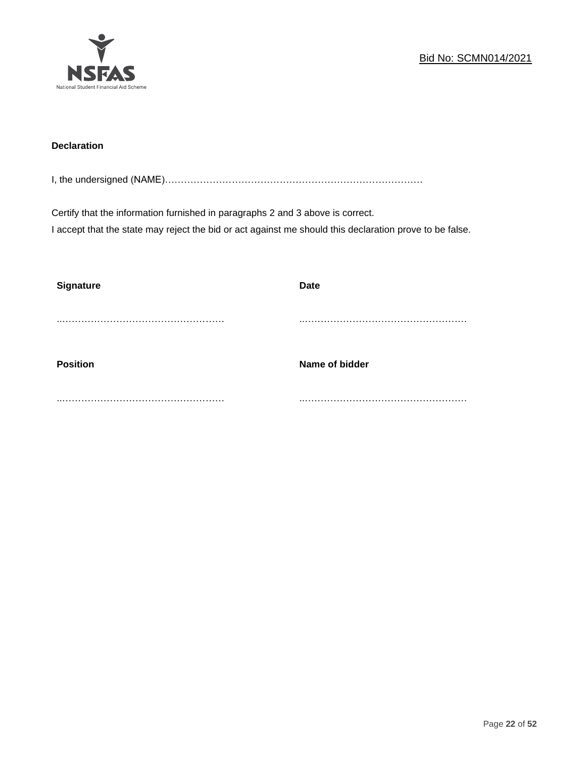

# **Declaration**

I, the undersigned (NAME)………………………………………………………………………

Certify that the information furnished in paragraphs 2 and 3 above is correct. I accept that the state may reject the bid or act against me should this declaration prove to be false.

| <b>Signature</b> | <b>Date</b>    |
|------------------|----------------|
|                  |                |
| <b>Position</b>  | Name of bidder |
|                  |                |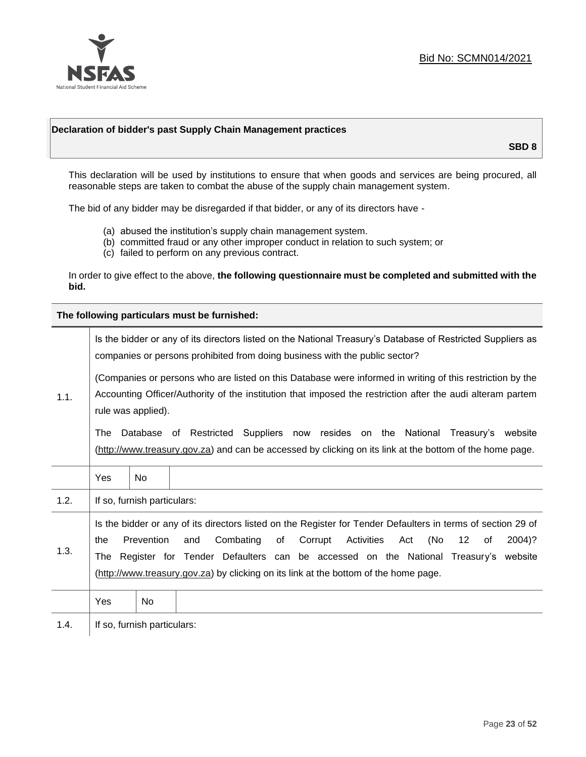

# **Declaration of bidder's past Supply Chain Management practices**

**SBD 8**

This declaration will be used by institutions to ensure that when goods and services are being procured, all reasonable steps are taken to combat the abuse of the supply chain management system.

The bid of any bidder may be disregarded if that bidder, or any of its directors have -

- (a) abused the institution's supply chain management system.
- (b) committed fraud or any other improper conduct in relation to such system; or
- (c) failed to perform on any previous contract.

In order to give effect to the above, **the following questionnaire must be completed and submitted with the bid.**

**The following particulars must be furnished:**

|                                                                                                                                                                                                                                                       |     |                             | Is the bidder or any of its directors listed on the National Treasury's Database of Restricted Suppliers as<br>companies or persons prohibited from doing business with the public sector?                                                                                                                                                                                           |
|-------------------------------------------------------------------------------------------------------------------------------------------------------------------------------------------------------------------------------------------------------|-----|-----------------------------|--------------------------------------------------------------------------------------------------------------------------------------------------------------------------------------------------------------------------------------------------------------------------------------------------------------------------------------------------------------------------------------|
| (Companies or persons who are listed on this Database were informed in writing of this restriction by the<br>Accounting Officer/Authority of the institution that imposed the restriction after the audi alteram partem<br>1.1.<br>rule was applied). |     |                             |                                                                                                                                                                                                                                                                                                                                                                                      |
|                                                                                                                                                                                                                                                       | The |                             | Database of Restricted Suppliers now resides on the National<br>Treasury's website<br>(http://www.treasury.gov.za) and can be accessed by clicking on its link at the bottom of the home page.                                                                                                                                                                                       |
|                                                                                                                                                                                                                                                       | Yes | <b>No</b>                   |                                                                                                                                                                                                                                                                                                                                                                                      |
| 1.2.                                                                                                                                                                                                                                                  |     | If so, furnish particulars: |                                                                                                                                                                                                                                                                                                                                                                                      |
| 1.3.                                                                                                                                                                                                                                                  | the | Prevention                  | Is the bidder or any of its directors listed on the Register for Tender Defaulters in terms of section 29 of<br>Activities<br>(No<br>Combating<br>of<br>Corrupt<br>12<br>2004)?<br>and<br>Act<br>of<br>The Register for Tender Defaulters can be accessed on the National Treasury's website<br>(http://www.treasury.gov.za) by clicking on its link at the bottom of the home page. |
|                                                                                                                                                                                                                                                       | Yes | No                          |                                                                                                                                                                                                                                                                                                                                                                                      |
| 1.4.                                                                                                                                                                                                                                                  |     | If so, furnish particulars: |                                                                                                                                                                                                                                                                                                                                                                                      |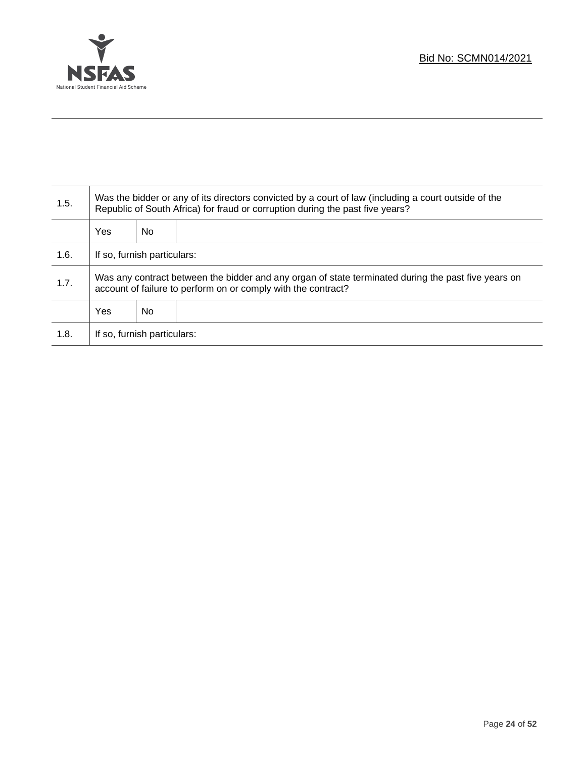

T

| 1.5. | Was the bidder or any of its directors convicted by a court of law (including a court outside of the<br>Republic of South Africa) for fraud or corruption during the past five years? |    |  |
|------|---------------------------------------------------------------------------------------------------------------------------------------------------------------------------------------|----|--|
|      | <b>Yes</b>                                                                                                                                                                            | No |  |
| 1.6. | If so, furnish particulars:                                                                                                                                                           |    |  |
| 1.7. | Was any contract between the bidder and any organ of state terminated during the past five years on<br>account of failure to perform on or comply with the contract?                  |    |  |
|      | Yes<br>No                                                                                                                                                                             |    |  |
| 1.8. | If so, furnish particulars:                                                                                                                                                           |    |  |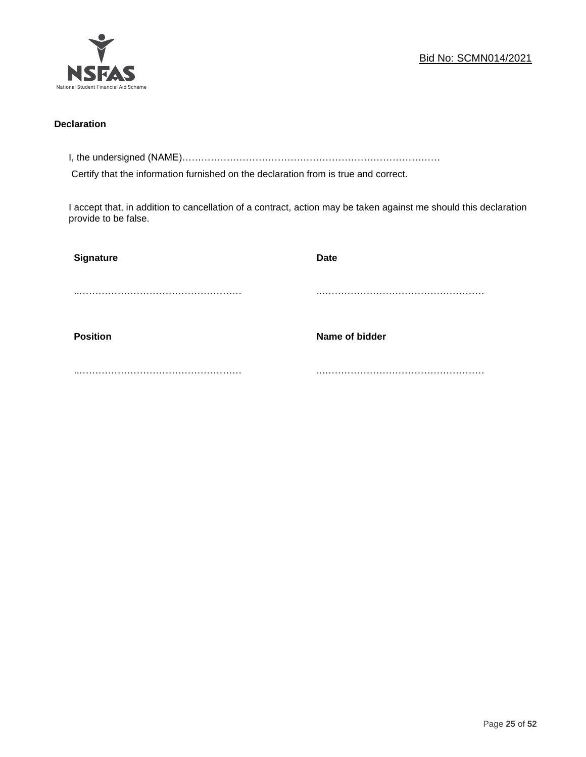

# **Declaration**

I, the undersigned (NAME)………………………………………………………………………

Certify that the information furnished on the declaration from is true and correct.

I accept that, in addition to cancellation of a contract, action may be taken against me should this declaration provide to be false.

| Signature       | Date           |
|-----------------|----------------|
|                 |                |
|                 |                |
| <b>Position</b> | Name of bidder |
|                 |                |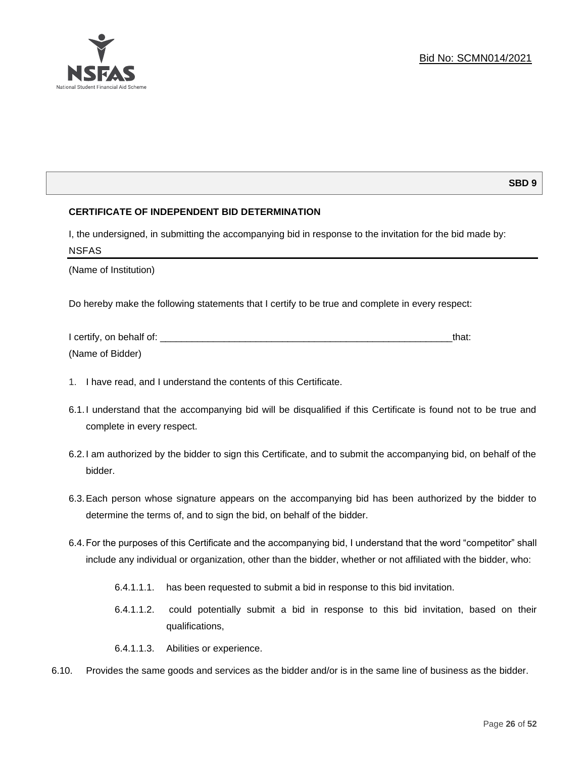

# **SBD 9**

# **CERTIFICATE OF INDEPENDENT BID DETERMINATION**

I, the undersigned, in submitting the accompanying bid in response to the invitation for the bid made by: NSFAS

(Name of Institution)

Do hereby make the following statements that I certify to be true and complete in every respect:

| I certify, on behalf of: |  |
|--------------------------|--|
| (Name of Bidder)         |  |

- 1. I have read, and I understand the contents of this Certificate.
- 6.1.I understand that the accompanying bid will be disqualified if this Certificate is found not to be true and complete in every respect.
- 6.2.I am authorized by the bidder to sign this Certificate, and to submit the accompanying bid, on behalf of the bidder.
- 6.3.Each person whose signature appears on the accompanying bid has been authorized by the bidder to determine the terms of, and to sign the bid, on behalf of the bidder.
- 6.4.For the purposes of this Certificate and the accompanying bid, I understand that the word "competitor" shall include any individual or organization, other than the bidder, whether or not affiliated with the bidder, who:
	- 6.4.1.1.1. has been requested to submit a bid in response to this bid invitation.
	- 6.4.1.1.2. could potentially submit a bid in response to this bid invitation, based on their qualifications,
	- 6.4.1.1.3. Abilities or experience.
- 6.10. Provides the same goods and services as the bidder and/or is in the same line of business as the bidder.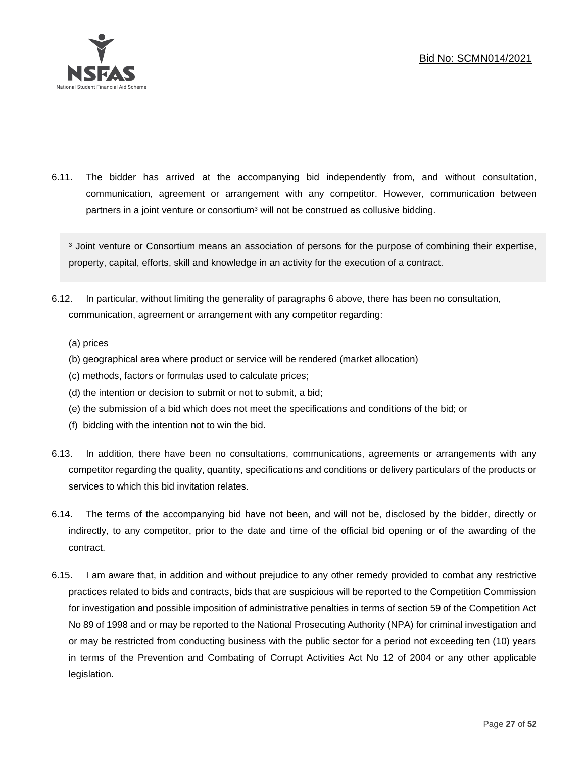

6.11. The bidder has arrived at the accompanying bid independently from, and without consultation, communication, agreement or arrangement with any competitor. However, communication between partners in a joint venture or consortium<sup>3</sup> will not be construed as collusive bidding.

<sup>3</sup> Joint venture or Consortium means an association of persons for the purpose of combining their expertise, property, capital, efforts, skill and knowledge in an activity for the execution of a contract.

- 6.12. In particular, without limiting the generality of paragraphs 6 above, there has been no consultation, communication, agreement or arrangement with any competitor regarding:
	- (a) prices
	- (b) geographical area where product or service will be rendered (market allocation)
	- (c) methods, factors or formulas used to calculate prices;
	- (d) the intention or decision to submit or not to submit, a bid;
	- (e) the submission of a bid which does not meet the specifications and conditions of the bid; or
	- (f) bidding with the intention not to win the bid.
- 6.13. In addition, there have been no consultations, communications, agreements or arrangements with any competitor regarding the quality, quantity, specifications and conditions or delivery particulars of the products or services to which this bid invitation relates.
- 6.14. The terms of the accompanying bid have not been, and will not be, disclosed by the bidder, directly or indirectly, to any competitor, prior to the date and time of the official bid opening or of the awarding of the contract.
- 6.15. I am aware that, in addition and without prejudice to any other remedy provided to combat any restrictive practices related to bids and contracts, bids that are suspicious will be reported to the Competition Commission for investigation and possible imposition of administrative penalties in terms of section 59 of the Competition Act No 89 of 1998 and or may be reported to the National Prosecuting Authority (NPA) for criminal investigation and or may be restricted from conducting business with the public sector for a period not exceeding ten (10) years in terms of the Prevention and Combating of Corrupt Activities Act No 12 of 2004 or any other applicable legislation.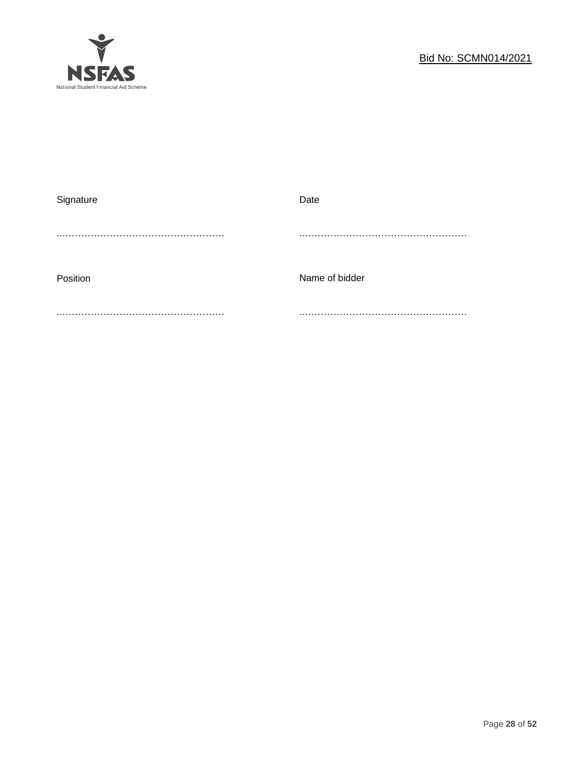

| Signature | Date           |
|-----------|----------------|
|           |                |
|           |                |
|           |                |
| Position  | Name of bidder |
|           |                |
|           |                |
|           |                |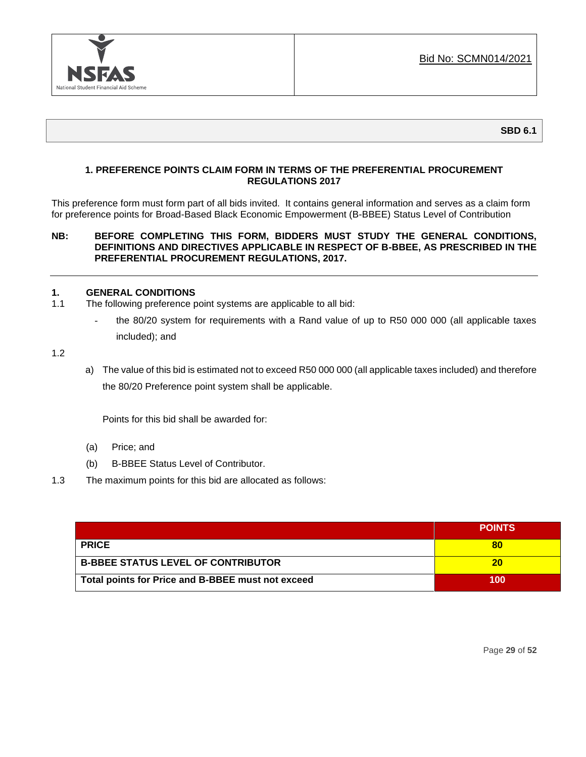

**SBD 6.1**

# **1. PREFERENCE POINTS CLAIM FORM IN TERMS OF THE PREFERENTIAL PROCUREMENT REGULATIONS 2017**

This preference form must form part of all bids invited. It contains general information and serves as a claim form for preference points for Broad-Based Black Economic Empowerment (B-BBEE) Status Level of Contribution

# **NB: BEFORE COMPLETING THIS FORM, BIDDERS MUST STUDY THE GENERAL CONDITIONS, DEFINITIONS AND DIRECTIVES APPLICABLE IN RESPECT OF B-BBEE, AS PRESCRIBED IN THE PREFERENTIAL PROCUREMENT REGULATIONS, 2017.**

# **1. GENERAL CONDITIONS**

- 1.1 The following preference point systems are applicable to all bid:
	- the 80/20 system for requirements with a Rand value of up to R50 000 000 (all applicable taxes included); and

1.2

a) The value of this bid is estimated not to exceed R50 000 000 (all applicable taxes included) and therefore the 80/20 Preference point system shall be applicable.

Points for this bid shall be awarded for:

- (a) Price; and
- (b) B-BBEE Status Level of Contributor.
- 1.3 The maximum points for this bid are allocated as follows:

|                                                   | <b>POINTS</b> |
|---------------------------------------------------|---------------|
| <b>PRICE</b>                                      |               |
| <b>B-BBEE STATUS LEVEL OF CONTRIBUTOR</b>         | 20            |
| Total points for Price and B-BBEE must not exceed | 100           |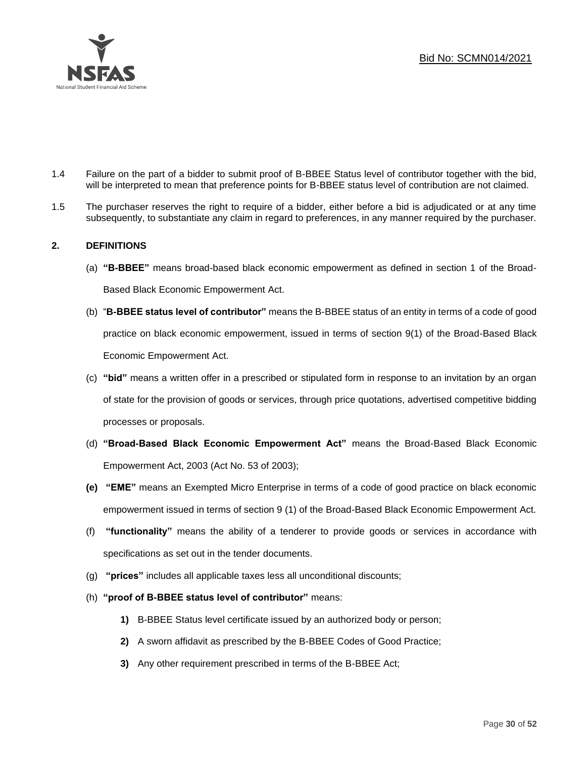

- 1.4 Failure on the part of a bidder to submit proof of B-BBEE Status level of contributor together with the bid, will be interpreted to mean that preference points for B-BBEE status level of contribution are not claimed.
- 1.5 The purchaser reserves the right to require of a bidder, either before a bid is adjudicated or at any time subsequently, to substantiate any claim in regard to preferences, in any manner required by the purchaser.

# **2. DEFINITIONS**

- (a) **"B-BBEE"** means broad-based black economic empowerment as defined in section 1 of the Broad-Based Black Economic Empowerment Act.
- (b) "**B-BBEE status level of contributor"** means the B-BBEE status of an entity in terms of a code of good practice on black economic empowerment, issued in terms of section 9(1) of the Broad-Based Black Economic Empowerment Act.
- (c) **"bid"** means a written offer in a prescribed or stipulated form in response to an invitation by an organ of state for the provision of goods or services, through price quotations, advertised competitive bidding processes or proposals.
- (d) **"Broad-Based Black Economic Empowerment Act"** means the Broad-Based Black Economic Empowerment Act, 2003 (Act No. 53 of 2003);
- **(e) "EME"** means an Exempted Micro Enterprise in terms of a code of good practice on black economic empowerment issued in terms of section 9 (1) of the Broad-Based Black Economic Empowerment Act.
- (f) **"functionality"** means the ability of a tenderer to provide goods or services in accordance with specifications as set out in the tender documents.
- (g) **"prices"** includes all applicable taxes less all unconditional discounts;
- (h) **"proof of B-BBEE status level of contributor"** means:
	- **1)** B-BBEE Status level certificate issued by an authorized body or person;
	- **2)** A sworn affidavit as prescribed by the B-BBEE Codes of Good Practice;
	- **3)** Any other requirement prescribed in terms of the B-BBEE Act;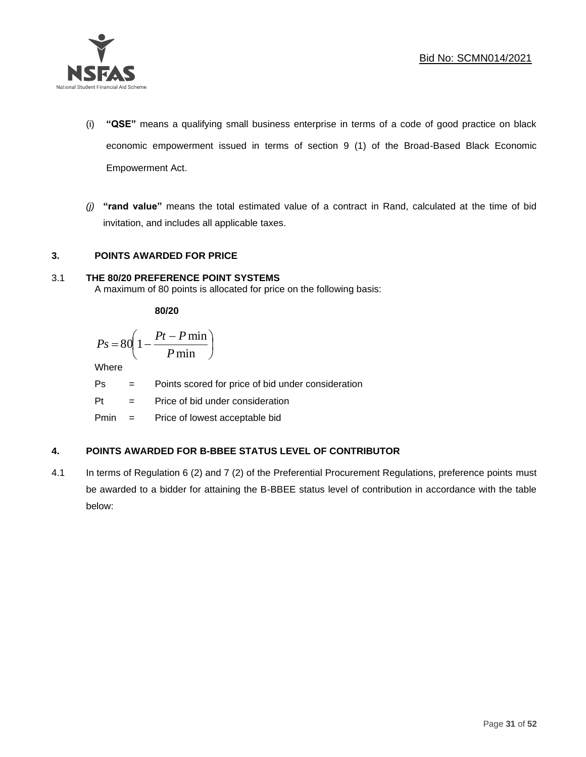

- (i) **"QSE"** means a qualifying small business enterprise in terms of a code of good practice on black economic empowerment issued in terms of section 9 (1) of the Broad-Based Black Economic Empowerment Act.
- *(j)* **"rand value"** means the total estimated value of a contract in Rand, calculated at the time of bid invitation, and includes all applicable taxes.

# **3. POINTS AWARDED FOR PRICE**

# 3.1 **THE 80/20 PREFERENCE POINT SYSTEMS**

A maximum of 80 points is allocated for price on the following basis:

**80/20**

$$
Ps = 80 \left( 1 - \frac{Pt - P \min}{P \min} \right)
$$

Where

Ps = Points scored for price of bid under consideration

l

 $Pt =$  Price of bid under consideration

Pmin = Price of lowest acceptable bid

# **4. POINTS AWARDED FOR B-BBEE STATUS LEVEL OF CONTRIBUTOR**

4.1 In terms of Regulation 6 (2) and 7 (2) of the Preferential Procurement Regulations, preference points must be awarded to a bidder for attaining the B-BBEE status level of contribution in accordance with the table below: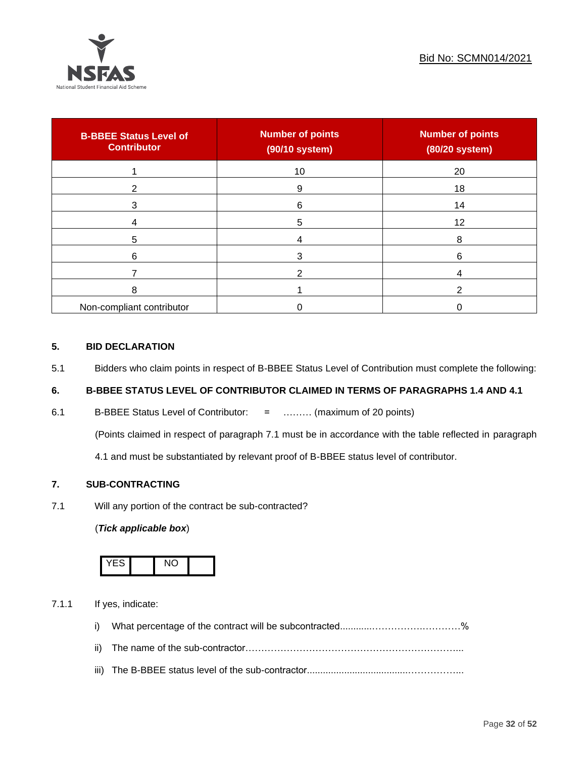

| <b>B-BBEE Status Level of</b><br><b>Contributor</b> | <b>Number of points</b><br>(90/10 system) | <b>Number of points</b><br>(80/20 system) |
|-----------------------------------------------------|-------------------------------------------|-------------------------------------------|
|                                                     | 10                                        | 20                                        |
| 2                                                   | 9                                         | 18                                        |
| 3                                                   | 6                                         | 14                                        |
|                                                     | 5                                         | 12                                        |
| 5                                                   |                                           | 8                                         |
| 6                                                   |                                           | 6                                         |
|                                                     |                                           |                                           |
| 8                                                   |                                           |                                           |
| Non-compliant contributor                           |                                           |                                           |

# **5. BID DECLARATION**

5.1 Bidders who claim points in respect of B-BBEE Status Level of Contribution must complete the following:

# **6. B-BBEE STATUS LEVEL OF CONTRIBUTOR CLAIMED IN TERMS OF PARAGRAPHS 1.4 AND 4.1**

6.1 B-BBEE Status Level of Contributor: = ……… (maximum of 20 points)

(Points claimed in respect of paragraph 7.1 must be in accordance with the table reflected in paragraph

4.1 and must be substantiated by relevant proof of B-BBEE status level of contributor.

# **7. SUB-CONTRACTING**

7.1 Will any portion of the contract be sub-contracted?

# (*Tick applicable box*)



7.1.1 If yes, indicate:

- i) What percentage of the contract will be subcontracted............…………….…………%
- ii) The name of the sub-contractor…………………………………………………………...
- iii) The B-BBEE status level of the sub-contractor......................................……………...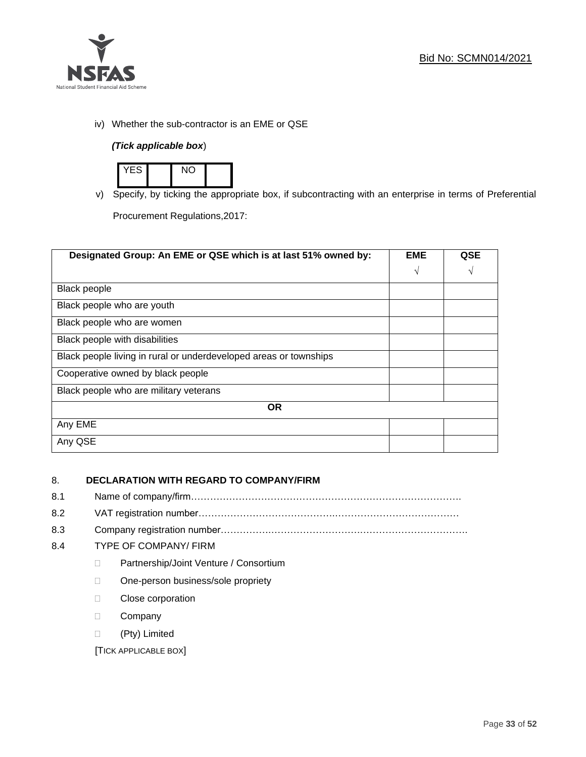

iv) Whether the sub-contractor is an EME or QSE

# *(Tick applicable box*)



v) Specify, by ticking the appropriate box, if subcontracting with an enterprise in terms of Preferential

Procurement Regulations,2017:

| Designated Group: An EME or QSE which is at last 51% owned by:    |            | QSE |
|-------------------------------------------------------------------|------------|-----|
|                                                                   | $\sqrt{ }$ | V   |
| Black people                                                      |            |     |
| Black people who are youth                                        |            |     |
| Black people who are women                                        |            |     |
| Black people with disabilities                                    |            |     |
| Black people living in rural or underdeveloped areas or townships |            |     |
| Cooperative owned by black people                                 |            |     |
| Black people who are military veterans                            |            |     |
| <b>OR</b>                                                         |            |     |
| Any EME                                                           |            |     |
| Any QSE                                                           |            |     |

# 8. **DECLARATION WITH REGARD TO COMPANY/FIRM**

- 8.1 Name of company/firm………………………………………………………………………….
- 8.2 VAT registration number…………………………………….…………………………………
- 8.3 Company registration number…………….……………………….…………………………….

# 8.4 TYPE OF COMPANY/ FIRM

- D Partnership/Joint Venture / Consortium
- □ One-person business/sole propriety
- **Close corporation**
- D Company
- (Pty) Limited

[TICK APPLICABLE BOX]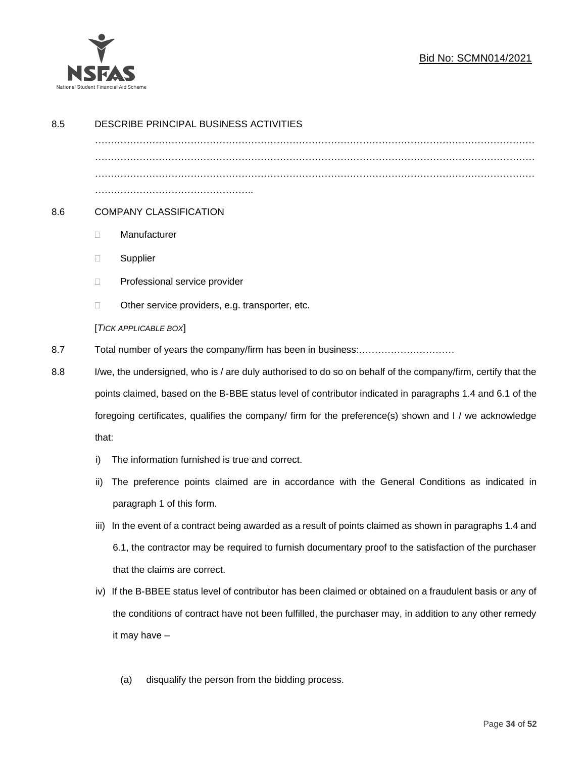

# Bid No: SCMN014/2021

| 8.5 | DESCRIBE PRINCIPAL BUSINESS ACTIVITIES                                                                       |                                                                                                           |  |
|-----|--------------------------------------------------------------------------------------------------------------|-----------------------------------------------------------------------------------------------------------|--|
|     |                                                                                                              |                                                                                                           |  |
|     |                                                                                                              |                                                                                                           |  |
|     |                                                                                                              |                                                                                                           |  |
| 8.6 |                                                                                                              | <b>COMPANY CLASSIFICATION</b>                                                                             |  |
|     | $\Box$                                                                                                       | Manufacturer                                                                                              |  |
|     | $\Box$                                                                                                       | Supplier                                                                                                  |  |
|     | $\Box$                                                                                                       | Professional service provider                                                                             |  |
|     | □                                                                                                            | Other service providers, e.g. transporter, etc.                                                           |  |
|     |                                                                                                              | [TICK APPLICABLE BOX]                                                                                     |  |
| 8.7 |                                                                                                              |                                                                                                           |  |
| 8.8 | I/we, the undersigned, who is / are duly authorised to do so on behalf of the company/firm, certify that the |                                                                                                           |  |
|     |                                                                                                              | points claimed, based on the B-BBE status level of contributor indicated in paragraphs 1.4 and 6.1 of the |  |
|     | foregoing certificates, qualifies the company/ firm for the preference(s) shown and I / we acknowledge       |                                                                                                           |  |
|     | that:                                                                                                        |                                                                                                           |  |
|     | i)                                                                                                           | The information furnished is true and correct.                                                            |  |
|     | ii)                                                                                                          | The preference points claimed are in accordance with the General Conditions as indicated in               |  |
|     |                                                                                                              | paragraph 1 of this form.                                                                                 |  |
|     | iii)                                                                                                         | In the event of a contract being awarded as a result of points claimed as shown in paragraphs 1.4 and     |  |
|     |                                                                                                              | 6.1, the contractor may be required to furnish documentary proof to the satisfaction of the purchaser     |  |
|     |                                                                                                              | that the claims are correct.                                                                              |  |
|     | iv)                                                                                                          | If the B-BBEE status level of contributor has been claimed or obtained on a fraudulent basis or any of    |  |
|     |                                                                                                              | the conditions of contract have not been fulfilled, the purchaser may, in addition to any other remedy    |  |
|     |                                                                                                              | it may have -                                                                                             |  |
|     |                                                                                                              |                                                                                                           |  |
|     |                                                                                                              | disqualify the person from the bidding process.<br>(a)                                                    |  |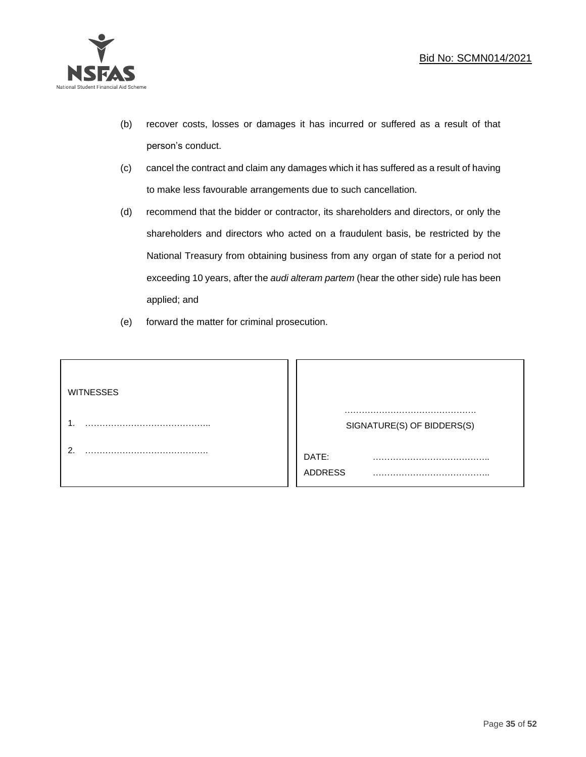

- (b) recover costs, losses or damages it has incurred or suffered as a result of that person's conduct.
- (c) cancel the contract and claim any damages which it has suffered as a result of having to make less favourable arrangements due to such cancellation.
- (d) recommend that the bidder or contractor, its shareholders and directors, or only the shareholders and directors who acted on a fraudulent basis, be restricted by the National Treasury from obtaining business from any organ of state for a period not exceeding 10 years, after the *audi alteram partem* (hear the other side) rule has been applied; and
- (e) forward the matter for criminal prosecution.

| <b>WITNESSES</b> |                            |
|------------------|----------------------------|
|                  | SIGNATURE(S) OF BIDDERS(S) |
|                  | DATE:<br>.<br>ADDRESS      |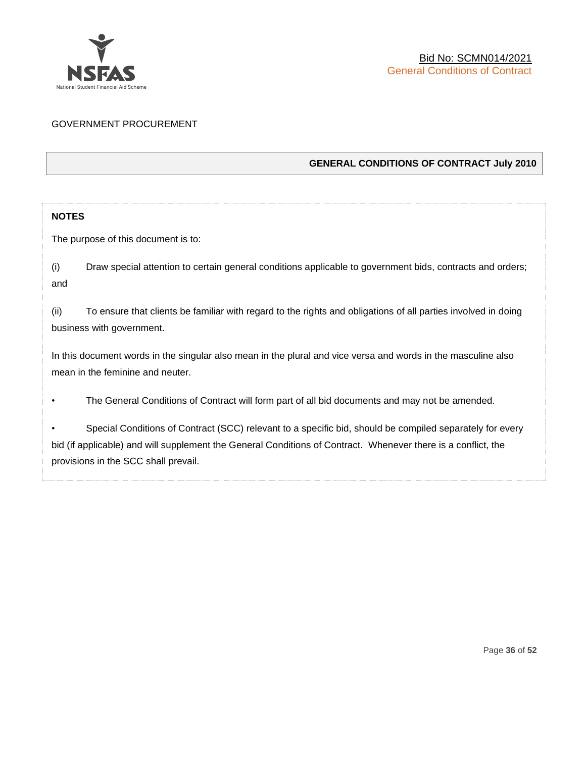

# GOVERNMENT PROCUREMENT

# **GENERAL CONDITIONS OF CONTRACT July 2010**

# **NOTES**

The purpose of this document is to:

(i) Draw special attention to certain general conditions applicable to government bids, contracts and orders; and

(ii) To ensure that clients be familiar with regard to the rights and obligations of all parties involved in doing business with government.

In this document words in the singular also mean in the plural and vice versa and words in the masculine also mean in the feminine and neuter.

• The General Conditions of Contract will form part of all bid documents and may not be amended.

Special Conditions of Contract (SCC) relevant to a specific bid, should be compiled separately for every bid (if applicable) and will supplement the General Conditions of Contract. Whenever there is a conflict, the provisions in the SCC shall prevail.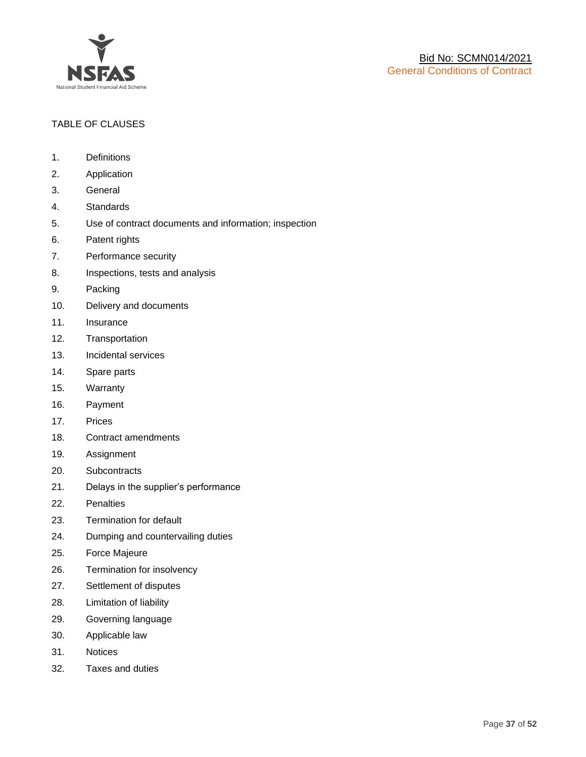

# TABLE OF CLAUSES

- 1. Definitions
- 2. Application
- 3. General
- 4. Standards
- 5. Use of contract documents and information; inspection
- 6. Patent rights
- 7. Performance security
- 8. Inspections, tests and analysis
- 9. Packing
- 10. Delivery and documents
- 11. Insurance
- 12. Transportation
- 13. Incidental services
- 14. Spare parts
- 15. Warranty
- 16. Payment
- 17. Prices
- 18. Contract amendments
- 19. Assignment
- 20. Subcontracts
- 21. Delays in the supplier's performance
- 22. Penalties
- 23. Termination for default
- 24. Dumping and countervailing duties
- 25. Force Majeure
- 26. Termination for insolvency
- 27. Settlement of disputes
- 28. Limitation of liability
- 29. Governing language
- 30. Applicable law
- 31. Notices
- 32. Taxes and duties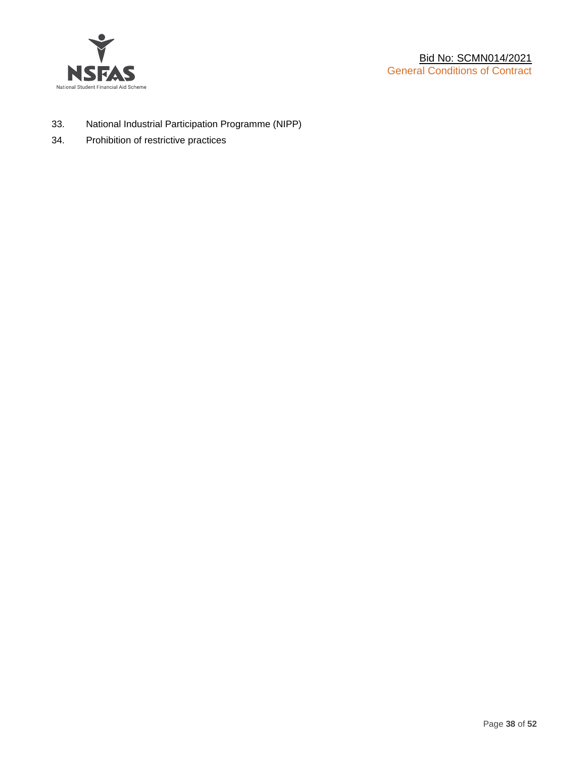

- 33. National Industrial Participation Programme (NIPP)
- 34. Prohibition of restrictive practices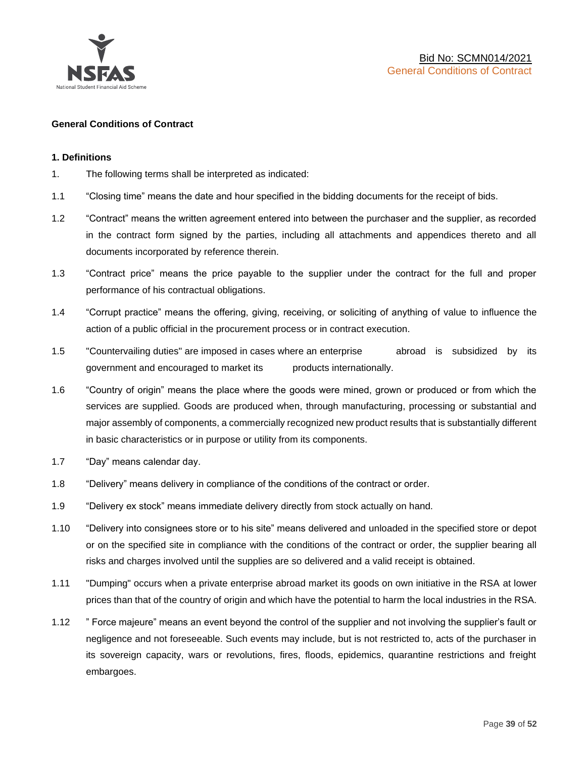

#### **General Conditions of Contract**

#### **1. Definitions**

- 1. The following terms shall be interpreted as indicated:
- 1.1 "Closing time" means the date and hour specified in the bidding documents for the receipt of bids.
- 1.2 "Contract" means the written agreement entered into between the purchaser and the supplier, as recorded in the contract form signed by the parties, including all attachments and appendices thereto and all documents incorporated by reference therein.
- 1.3 "Contract price" means the price payable to the supplier under the contract for the full and proper performance of his contractual obligations.
- 1.4 "Corrupt practice" means the offering, giving, receiving, or soliciting of anything of value to influence the action of a public official in the procurement process or in contract execution.
- 1.5 "Countervailing duties" are imposed in cases where an enterprise abroad is subsidized by its government and encouraged to market its products internationally.
- 1.6 "Country of origin" means the place where the goods were mined, grown or produced or from which the services are supplied. Goods are produced when, through manufacturing, processing or substantial and major assembly of components, a commercially recognized new product results that is substantially different in basic characteristics or in purpose or utility from its components.
- 1.7 "Day" means calendar day.
- 1.8 "Delivery" means delivery in compliance of the conditions of the contract or order.
- 1.9 "Delivery ex stock" means immediate delivery directly from stock actually on hand.
- 1.10 "Delivery into consignees store or to his site" means delivered and unloaded in the specified store or depot or on the specified site in compliance with the conditions of the contract or order, the supplier bearing all risks and charges involved until the supplies are so delivered and a valid receipt is obtained.
- 1.11 "Dumping" occurs when a private enterprise abroad market its goods on own initiative in the RSA at lower prices than that of the country of origin and which have the potential to harm the local industries in the RSA.
- 1.12 " Force majeure" means an event beyond the control of the supplier and not involving the supplier's fault or negligence and not foreseeable. Such events may include, but is not restricted to, acts of the purchaser in its sovereign capacity, wars or revolutions, fires, floods, epidemics, quarantine restrictions and freight embargoes.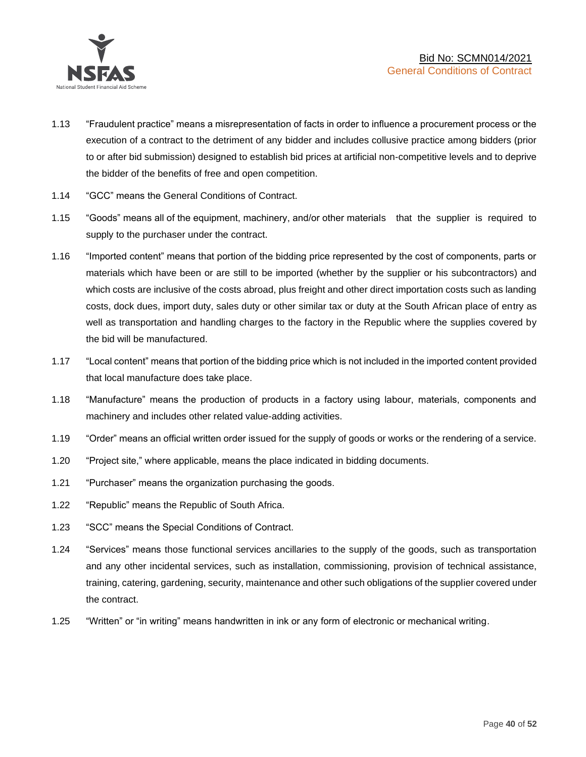

- 1.13 "Fraudulent practice" means a misrepresentation of facts in order to influence a procurement process or the execution of a contract to the detriment of any bidder and includes collusive practice among bidders (prior to or after bid submission) designed to establish bid prices at artificial non-competitive levels and to deprive the bidder of the benefits of free and open competition.
- 1.14 "GCC" means the General Conditions of Contract.
- 1.15 "Goods" means all of the equipment, machinery, and/or other materials that the supplier is required to supply to the purchaser under the contract.
- 1.16 "Imported content" means that portion of the bidding price represented by the cost of components, parts or materials which have been or are still to be imported (whether by the supplier or his subcontractors) and which costs are inclusive of the costs abroad, plus freight and other direct importation costs such as landing costs, dock dues, import duty, sales duty or other similar tax or duty at the South African place of entry as well as transportation and handling charges to the factory in the Republic where the supplies covered by the bid will be manufactured.
- 1.17 "Local content" means that portion of the bidding price which is not included in the imported content provided that local manufacture does take place.
- 1.18 "Manufacture" means the production of products in a factory using labour, materials, components and machinery and includes other related value-adding activities.
- 1.19 "Order" means an official written order issued for the supply of goods or works or the rendering of a service.
- 1.20 "Project site," where applicable, means the place indicated in bidding documents.
- 1.21 "Purchaser" means the organization purchasing the goods.
- 1.22 "Republic" means the Republic of South Africa.
- 1.23 "SCC" means the Special Conditions of Contract.
- 1.24 "Services" means those functional services ancillaries to the supply of the goods, such as transportation and any other incidental services, such as installation, commissioning, provision of technical assistance, training, catering, gardening, security, maintenance and other such obligations of the supplier covered under the contract.
- 1.25 "Written" or "in writing" means handwritten in ink or any form of electronic or mechanical writing.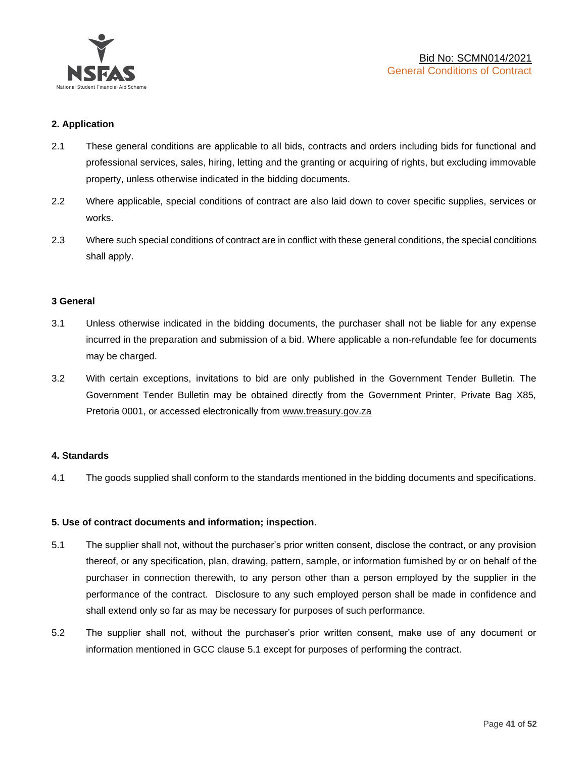

# **2. Application**

- 2.1 These general conditions are applicable to all bids, contracts and orders including bids for functional and professional services, sales, hiring, letting and the granting or acquiring of rights, but excluding immovable property, unless otherwise indicated in the bidding documents.
- 2.2 Where applicable, special conditions of contract are also laid down to cover specific supplies, services or works.
- 2.3 Where such special conditions of contract are in conflict with these general conditions, the special conditions shall apply.

#### **3 General**

- 3.1 Unless otherwise indicated in the bidding documents, the purchaser shall not be liable for any expense incurred in the preparation and submission of a bid. Where applicable a non-refundable fee for documents may be charged.
- 3.2 With certain exceptions, invitations to bid are only published in the Government Tender Bulletin. The Government Tender Bulletin may be obtained directly from the Government Printer, Private Bag X85, Pretoria 0001, or accessed electronically from [www.treasury.gov.za](http://www.treasury.gov.za/)

#### **4. Standards**

4.1 The goods supplied shall conform to the standards mentioned in the bidding documents and specifications.

#### **5. Use of contract documents and information; inspection**.

- 5.1 The supplier shall not, without the purchaser's prior written consent, disclose the contract, or any provision thereof, or any specification, plan, drawing, pattern, sample, or information furnished by or on behalf of the purchaser in connection therewith, to any person other than a person employed by the supplier in the performance of the contract. Disclosure to any such employed person shall be made in confidence and shall extend only so far as may be necessary for purposes of such performance.
- 5.2 The supplier shall not, without the purchaser's prior written consent, make use of any document or information mentioned in GCC clause 5.1 except for purposes of performing the contract.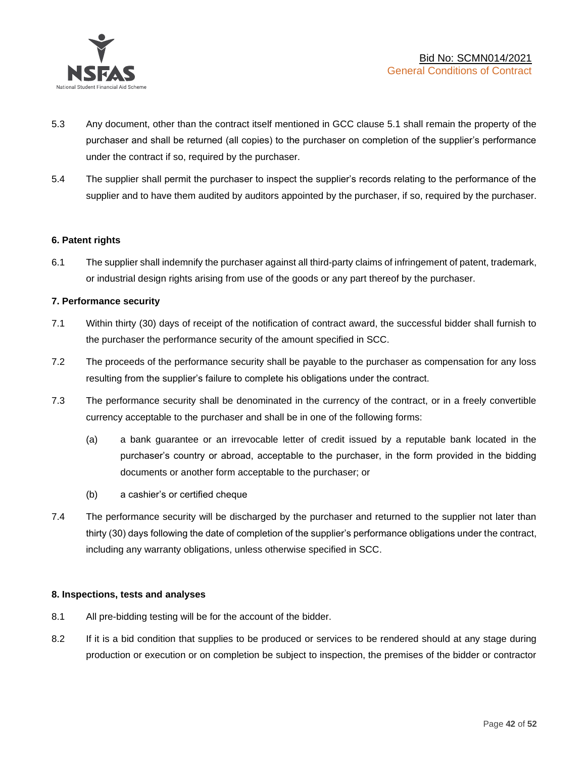

- 5.3 Any document, other than the contract itself mentioned in GCC clause 5.1 shall remain the property of the purchaser and shall be returned (all copies) to the purchaser on completion of the supplier's performance under the contract if so, required by the purchaser.
- 5.4 The supplier shall permit the purchaser to inspect the supplier's records relating to the performance of the supplier and to have them audited by auditors appointed by the purchaser, if so, required by the purchaser.

#### **6. Patent rights**

6.1 The supplier shall indemnify the purchaser against all third-party claims of infringement of patent, trademark, or industrial design rights arising from use of the goods or any part thereof by the purchaser.

# **7. Performance security**

- 7.1 Within thirty (30) days of receipt of the notification of contract award, the successful bidder shall furnish to the purchaser the performance security of the amount specified in SCC.
- 7.2 The proceeds of the performance security shall be payable to the purchaser as compensation for any loss resulting from the supplier's failure to complete his obligations under the contract.
- 7.3 The performance security shall be denominated in the currency of the contract, or in a freely convertible currency acceptable to the purchaser and shall be in one of the following forms:
	- (a) a bank guarantee or an irrevocable letter of credit issued by a reputable bank located in the purchaser's country or abroad, acceptable to the purchaser, in the form provided in the bidding documents or another form acceptable to the purchaser; or
	- (b) a cashier's or certified cheque
- 7.4 The performance security will be discharged by the purchaser and returned to the supplier not later than thirty (30) days following the date of completion of the supplier's performance obligations under the contract, including any warranty obligations, unless otherwise specified in SCC.

#### **8. Inspections, tests and analyses**

- 8.1 All pre-bidding testing will be for the account of the bidder.
- 8.2 If it is a bid condition that supplies to be produced or services to be rendered should at any stage during production or execution or on completion be subject to inspection, the premises of the bidder or contractor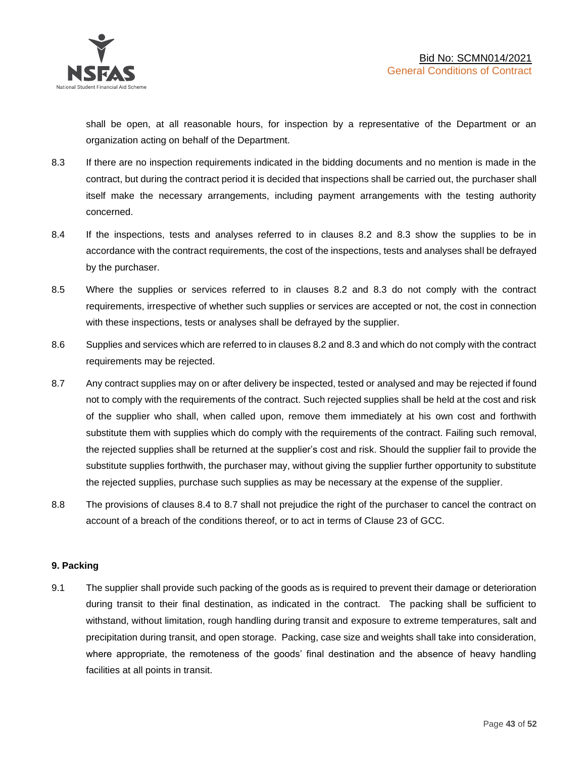shall be open, at all reasonable hours, for inspection by a representative of the Department or an organization acting on behalf of the Department.

- 8.3 If there are no inspection requirements indicated in the bidding documents and no mention is made in the contract, but during the contract period it is decided that inspections shall be carried out, the purchaser shall itself make the necessary arrangements, including payment arrangements with the testing authority concerned.
- 8.4 If the inspections, tests and analyses referred to in clauses 8.2 and 8.3 show the supplies to be in accordance with the contract requirements, the cost of the inspections, tests and analyses shall be defrayed by the purchaser.
- 8.5 Where the supplies or services referred to in clauses 8.2 and 8.3 do not comply with the contract requirements, irrespective of whether such supplies or services are accepted or not, the cost in connection with these inspections, tests or analyses shall be defrayed by the supplier.
- 8.6 Supplies and services which are referred to in clauses 8.2 and 8.3 and which do not comply with the contract requirements may be rejected.
- 8.7 Any contract supplies may on or after delivery be inspected, tested or analysed and may be rejected if found not to comply with the requirements of the contract. Such rejected supplies shall be held at the cost and risk of the supplier who shall, when called upon, remove them immediately at his own cost and forthwith substitute them with supplies which do comply with the requirements of the contract. Failing such removal, the rejected supplies shall be returned at the supplier's cost and risk. Should the supplier fail to provide the substitute supplies forthwith, the purchaser may, without giving the supplier further opportunity to substitute the rejected supplies, purchase such supplies as may be necessary at the expense of the supplier.
- 8.8 The provisions of clauses 8.4 to 8.7 shall not prejudice the right of the purchaser to cancel the contract on account of a breach of the conditions thereof, or to act in terms of Clause 23 of GCC.

# **9. Packing**

9.1 The supplier shall provide such packing of the goods as is required to prevent their damage or deterioration during transit to their final destination, as indicated in the contract. The packing shall be sufficient to withstand, without limitation, rough handling during transit and exposure to extreme temperatures, salt and precipitation during transit, and open storage. Packing, case size and weights shall take into consideration, where appropriate, the remoteness of the goods' final destination and the absence of heavy handling facilities at all points in transit.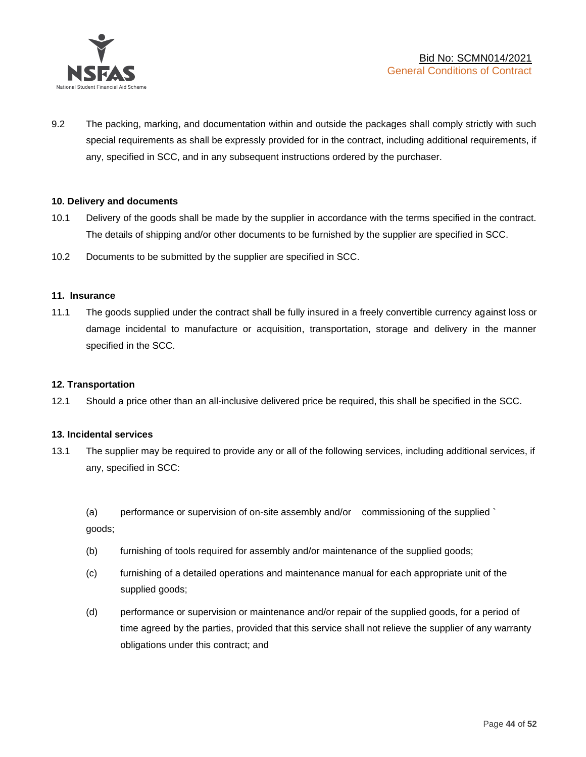

9.2 The packing, marking, and documentation within and outside the packages shall comply strictly with such special requirements as shall be expressly provided for in the contract, including additional requirements, if any, specified in SCC, and in any subsequent instructions ordered by the purchaser.

#### **10. Delivery and documents**

- 10.1 Delivery of the goods shall be made by the supplier in accordance with the terms specified in the contract. The details of shipping and/or other documents to be furnished by the supplier are specified in SCC.
- 10.2 Documents to be submitted by the supplier are specified in SCC.

#### **11. Insurance**

11.1 The goods supplied under the contract shall be fully insured in a freely convertible currency against loss or damage incidental to manufacture or acquisition, transportation, storage and delivery in the manner specified in the SCC.

#### **12. Transportation**

12.1 Should a price other than an all-inclusive delivered price be required, this shall be specified in the SCC.

#### **13. Incidental services**

13.1 The supplier may be required to provide any or all of the following services, including additional services, if any, specified in SCC:

(a) performance or supervision of on-site assembly and/or commissioning of the supplied ` goods;

- (b) furnishing of tools required for assembly and/or maintenance of the supplied goods;
- (c) furnishing of a detailed operations and maintenance manual for each appropriate unit of the supplied goods;
- (d) performance or supervision or maintenance and/or repair of the supplied goods, for a period of time agreed by the parties, provided that this service shall not relieve the supplier of any warranty obligations under this contract; and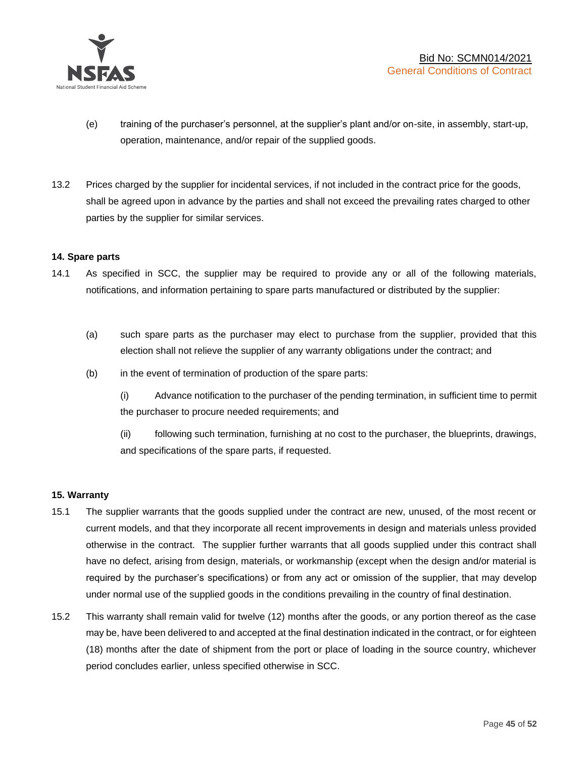

- (e) training of the purchaser's personnel, at the supplier's plant and/or on-site, in assembly, start-up, operation, maintenance, and/or repair of the supplied goods.
- 13.2 Prices charged by the supplier for incidental services, if not included in the contract price for the goods, shall be agreed upon in advance by the parties and shall not exceed the prevailing rates charged to other parties by the supplier for similar services.

# **14. Spare parts**

- 14.1 As specified in SCC, the supplier may be required to provide any or all of the following materials, notifications, and information pertaining to spare parts manufactured or distributed by the supplier:
	- (a) such spare parts as the purchaser may elect to purchase from the supplier, provided that this election shall not relieve the supplier of any warranty obligations under the contract; and
	- (b) in the event of termination of production of the spare parts:

(i) Advance notification to the purchaser of the pending termination, in sufficient time to permit the purchaser to procure needed requirements; and

(ii) following such termination, furnishing at no cost to the purchaser, the blueprints, drawings, and specifications of the spare parts, if requested.

#### **15. Warranty**

- 15.1 The supplier warrants that the goods supplied under the contract are new, unused, of the most recent or current models, and that they incorporate all recent improvements in design and materials unless provided otherwise in the contract. The supplier further warrants that all goods supplied under this contract shall have no defect, arising from design, materials, or workmanship (except when the design and/or material is required by the purchaser's specifications) or from any act or omission of the supplier, that may develop under normal use of the supplied goods in the conditions prevailing in the country of final destination.
- 15.2 This warranty shall remain valid for twelve (12) months after the goods, or any portion thereof as the case may be, have been delivered to and accepted at the final destination indicated in the contract, or for eighteen (18) months after the date of shipment from the port or place of loading in the source country, whichever period concludes earlier, unless specified otherwise in SCC.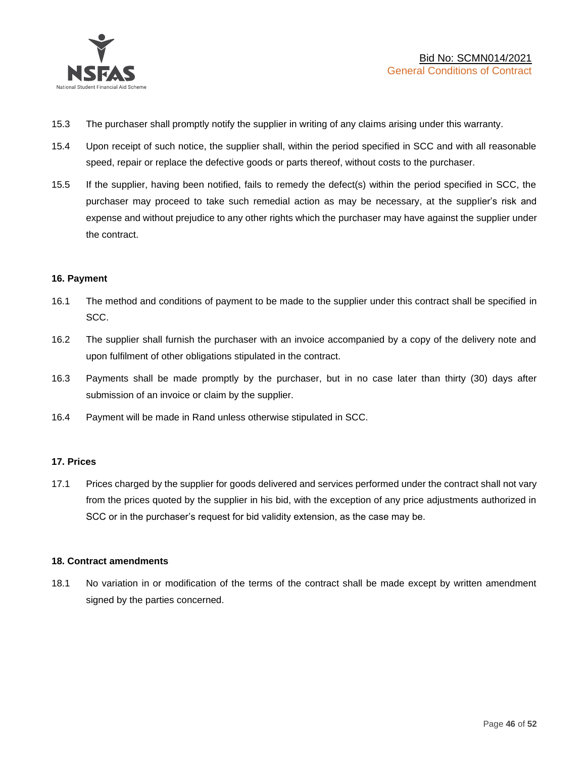

- 15.3 The purchaser shall promptly notify the supplier in writing of any claims arising under this warranty.
- 15.4 Upon receipt of such notice, the supplier shall, within the period specified in SCC and with all reasonable speed, repair or replace the defective goods or parts thereof, without costs to the purchaser.
- 15.5 If the supplier, having been notified, fails to remedy the defect(s) within the period specified in SCC, the purchaser may proceed to take such remedial action as may be necessary, at the supplier's risk and expense and without prejudice to any other rights which the purchaser may have against the supplier under the contract.

# **16. Payment**

- 16.1 The method and conditions of payment to be made to the supplier under this contract shall be specified in SCC.
- 16.2 The supplier shall furnish the purchaser with an invoice accompanied by a copy of the delivery note and upon fulfilment of other obligations stipulated in the contract.
- 16.3 Payments shall be made promptly by the purchaser, but in no case later than thirty (30) days after submission of an invoice or claim by the supplier.
- 16.4 Payment will be made in Rand unless otherwise stipulated in SCC.

#### **17. Prices**

17.1 Prices charged by the supplier for goods delivered and services performed under the contract shall not vary from the prices quoted by the supplier in his bid, with the exception of any price adjustments authorized in SCC or in the purchaser's request for bid validity extension, as the case may be.

#### **18. Contract amendments**

18.1 No variation in or modification of the terms of the contract shall be made except by written amendment signed by the parties concerned.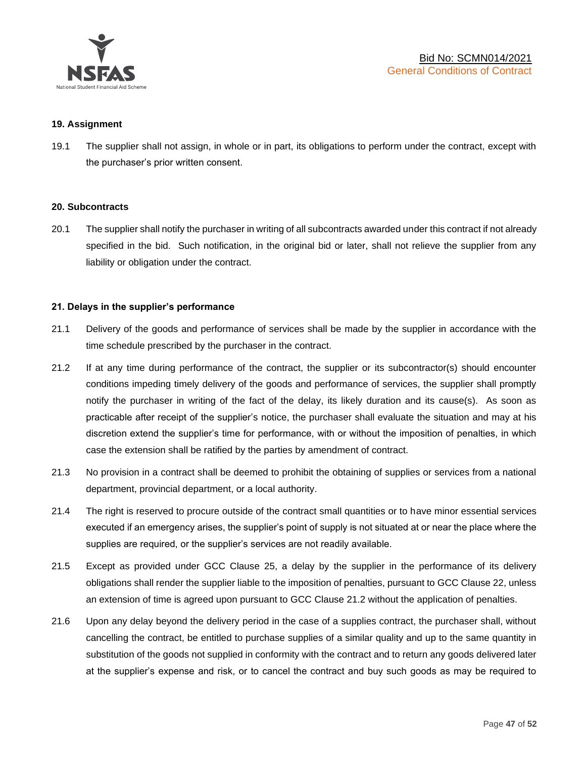

#### **19. Assignment**

19.1 The supplier shall not assign, in whole or in part, its obligations to perform under the contract, except with the purchaser's prior written consent.

#### **20. Subcontracts**

20.1 The supplier shall notify the purchaser in writing of all subcontracts awarded under this contract if not already specified in the bid. Such notification, in the original bid or later, shall not relieve the supplier from any liability or obligation under the contract.

# **21. Delays in the supplier's performance**

- 21.1 Delivery of the goods and performance of services shall be made by the supplier in accordance with the time schedule prescribed by the purchaser in the contract.
- 21.2 If at any time during performance of the contract, the supplier or its subcontractor(s) should encounter conditions impeding timely delivery of the goods and performance of services, the supplier shall promptly notify the purchaser in writing of the fact of the delay, its likely duration and its cause(s). As soon as practicable after receipt of the supplier's notice, the purchaser shall evaluate the situation and may at his discretion extend the supplier's time for performance, with or without the imposition of penalties, in which case the extension shall be ratified by the parties by amendment of contract.
- 21.3 No provision in a contract shall be deemed to prohibit the obtaining of supplies or services from a national department, provincial department, or a local authority.
- 21.4 The right is reserved to procure outside of the contract small quantities or to have minor essential services executed if an emergency arises, the supplier's point of supply is not situated at or near the place where the supplies are required, or the supplier's services are not readily available.
- 21.5 Except as provided under GCC Clause 25, a delay by the supplier in the performance of its delivery obligations shall render the supplier liable to the imposition of penalties, pursuant to GCC Clause 22, unless an extension of time is agreed upon pursuant to GCC Clause 21.2 without the application of penalties.
- 21.6 Upon any delay beyond the delivery period in the case of a supplies contract, the purchaser shall, without cancelling the contract, be entitled to purchase supplies of a similar quality and up to the same quantity in substitution of the goods not supplied in conformity with the contract and to return any goods delivered later at the supplier's expense and risk, or to cancel the contract and buy such goods as may be required to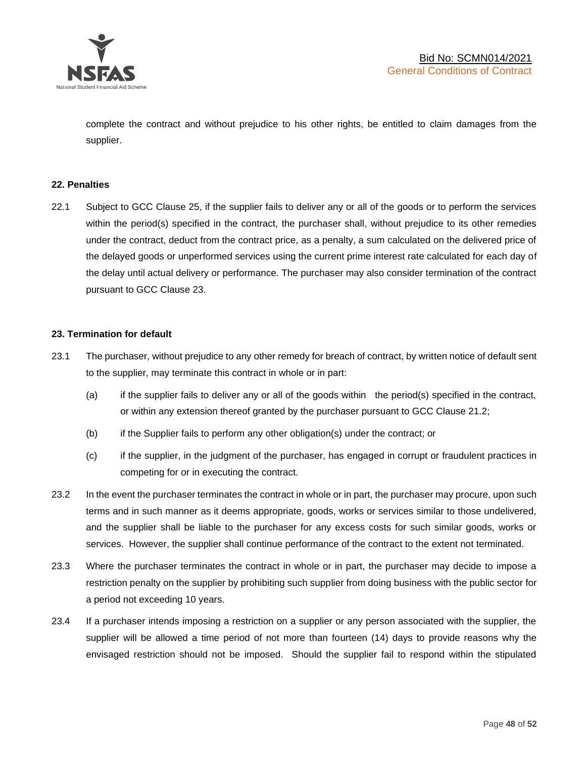

complete the contract and without prejudice to his other rights, be entitled to claim damages from the supplier.

#### **22. Penalties**

22.1 Subject to GCC Clause 25, if the supplier fails to deliver any or all of the goods or to perform the services within the period(s) specified in the contract, the purchaser shall, without prejudice to its other remedies under the contract, deduct from the contract price, as a penalty, a sum calculated on the delivered price of the delayed goods or unperformed services using the current prime interest rate calculated for each day of the delay until actual delivery or performance. The purchaser may also consider termination of the contract pursuant to GCC Clause 23.

# **23. Termination for default**

- 23.1 The purchaser, without prejudice to any other remedy for breach of contract, by written notice of default sent to the supplier, may terminate this contract in whole or in part:
	- (a) if the supplier fails to deliver any or all of the goods within the period(s) specified in the contract, or within any extension thereof granted by the purchaser pursuant to GCC Clause 21.2;
	- (b) if the Supplier fails to perform any other obligation(s) under the contract; or
	- (c) if the supplier, in the judgment of the purchaser, has engaged in corrupt or fraudulent practices in competing for or in executing the contract.
- 23.2 In the event the purchaser terminates the contract in whole or in part, the purchaser may procure, upon such terms and in such manner as it deems appropriate, goods, works or services similar to those undelivered, and the supplier shall be liable to the purchaser for any excess costs for such similar goods, works or services. However, the supplier shall continue performance of the contract to the extent not terminated.
- 23.3 Where the purchaser terminates the contract in whole or in part, the purchaser may decide to impose a restriction penalty on the supplier by prohibiting such supplier from doing business with the public sector for a period not exceeding 10 years.
- 23.4 If a purchaser intends imposing a restriction on a supplier or any person associated with the supplier, the supplier will be allowed a time period of not more than fourteen (14) days to provide reasons why the envisaged restriction should not be imposed. Should the supplier fail to respond within the stipulated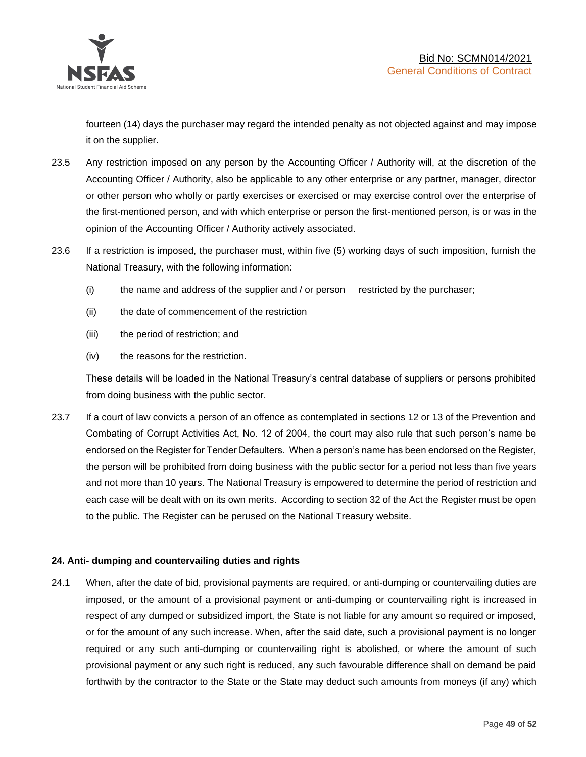

fourteen (14) days the purchaser may regard the intended penalty as not objected against and may impose it on the supplier.

- 23.5 Any restriction imposed on any person by the Accounting Officer / Authority will, at the discretion of the Accounting Officer / Authority, also be applicable to any other enterprise or any partner, manager, director or other person who wholly or partly exercises or exercised or may exercise control over the enterprise of the first-mentioned person, and with which enterprise or person the first-mentioned person, is or was in the opinion of the Accounting Officer / Authority actively associated.
- 23.6 If a restriction is imposed, the purchaser must, within five (5) working days of such imposition, furnish the National Treasury, with the following information:
	- (i) the name and address of the supplier and / or person restricted by the purchaser;
	- (ii) the date of commencement of the restriction
	- (iii) the period of restriction; and
	- (iv) the reasons for the restriction.

These details will be loaded in the National Treasury's central database of suppliers or persons prohibited from doing business with the public sector.

23.7 If a court of law convicts a person of an offence as contemplated in sections 12 or 13 of the Prevention and Combating of Corrupt Activities Act, No. 12 of 2004, the court may also rule that such person's name be endorsed on the Register for Tender Defaulters. When a person's name has been endorsed on the Register, the person will be prohibited from doing business with the public sector for a period not less than five years and not more than 10 years. The National Treasury is empowered to determine the period of restriction and each case will be dealt with on its own merits. According to section 32 of the Act the Register must be open to the public. The Register can be perused on the National Treasury website.

# **24. Anti- dumping and countervailing duties and rights**

24.1 When, after the date of bid, provisional payments are required, or anti-dumping or countervailing duties are imposed, or the amount of a provisional payment or anti-dumping or countervailing right is increased in respect of any dumped or subsidized import, the State is not liable for any amount so required or imposed, or for the amount of any such increase. When, after the said date, such a provisional payment is no longer required or any such anti-dumping or countervailing right is abolished, or where the amount of such provisional payment or any such right is reduced, any such favourable difference shall on demand be paid forthwith by the contractor to the State or the State may deduct such amounts from moneys (if any) which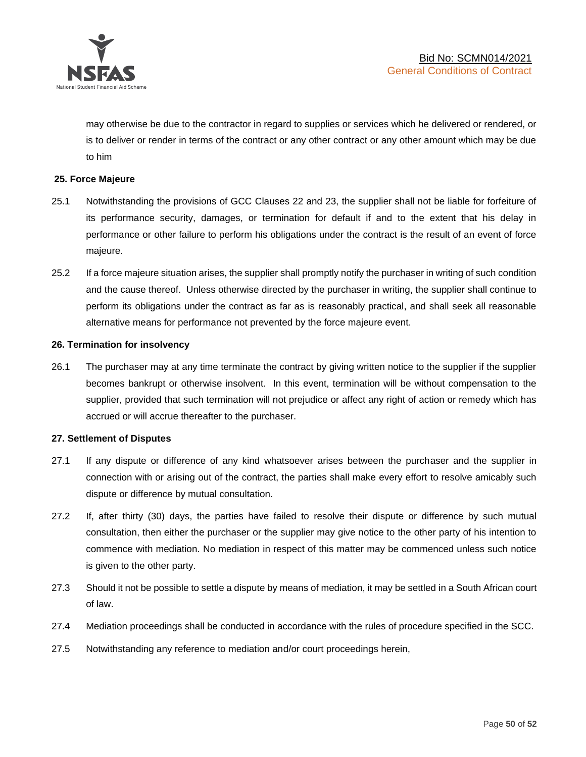

may otherwise be due to the contractor in regard to supplies or services which he delivered or rendered, or is to deliver or render in terms of the contract or any other contract or any other amount which may be due to him

# **25. Force Majeure**

- 25.1 Notwithstanding the provisions of GCC Clauses 22 and 23, the supplier shall not be liable for forfeiture of its performance security, damages, or termination for default if and to the extent that his delay in performance or other failure to perform his obligations under the contract is the result of an event of force majeure.
- 25.2 If a force majeure situation arises, the supplier shall promptly notify the purchaser in writing of such condition and the cause thereof. Unless otherwise directed by the purchaser in writing, the supplier shall continue to perform its obligations under the contract as far as is reasonably practical, and shall seek all reasonable alternative means for performance not prevented by the force majeure event.

#### **26. Termination for insolvency**

26.1 The purchaser may at any time terminate the contract by giving written notice to the supplier if the supplier becomes bankrupt or otherwise insolvent. In this event, termination will be without compensation to the supplier, provided that such termination will not prejudice or affect any right of action or remedy which has accrued or will accrue thereafter to the purchaser.

#### **27. Settlement of Disputes**

- 27.1 If any dispute or difference of any kind whatsoever arises between the purchaser and the supplier in connection with or arising out of the contract, the parties shall make every effort to resolve amicably such dispute or difference by mutual consultation.
- 27.2 If, after thirty (30) days, the parties have failed to resolve their dispute or difference by such mutual consultation, then either the purchaser or the supplier may give notice to the other party of his intention to commence with mediation. No mediation in respect of this matter may be commenced unless such notice is given to the other party.
- 27.3 Should it not be possible to settle a dispute by means of mediation, it may be settled in a South African court of law.
- 27.4 Mediation proceedings shall be conducted in accordance with the rules of procedure specified in the SCC.
- 27.5 Notwithstanding any reference to mediation and/or court proceedings herein,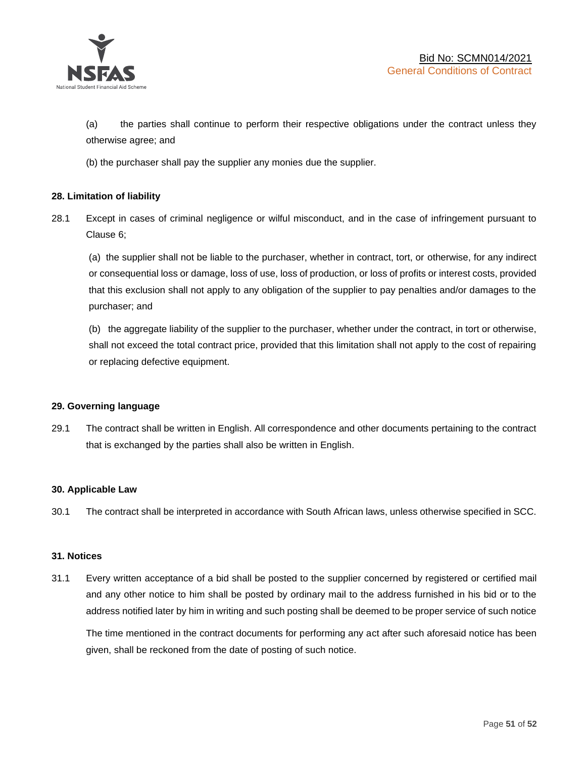

(a) the parties shall continue to perform their respective obligations under the contract unless they otherwise agree; and

(b) the purchaser shall pay the supplier any monies due the supplier.

# **28. Limitation of liability**

28.1 Except in cases of criminal negligence or wilful misconduct, and in the case of infringement pursuant to Clause 6;

(a) the supplier shall not be liable to the purchaser, whether in contract, tort, or otherwise, for any indirect or consequential loss or damage, loss of use, loss of production, or loss of profits or interest costs, provided that this exclusion shall not apply to any obligation of the supplier to pay penalties and/or damages to the purchaser; and

(b) the aggregate liability of the supplier to the purchaser, whether under the contract, in tort or otherwise, shall not exceed the total contract price, provided that this limitation shall not apply to the cost of repairing or replacing defective equipment.

#### **29. Governing language**

29.1 The contract shall be written in English. All correspondence and other documents pertaining to the contract that is exchanged by the parties shall also be written in English.

#### **30. Applicable Law**

30.1 The contract shall be interpreted in accordance with South African laws, unless otherwise specified in SCC.

#### **31. Notices**

31.1 Every written acceptance of a bid shall be posted to the supplier concerned by registered or certified mail and any other notice to him shall be posted by ordinary mail to the address furnished in his bid or to the address notified later by him in writing and such posting shall be deemed to be proper service of such notice

The time mentioned in the contract documents for performing any act after such aforesaid notice has been given, shall be reckoned from the date of posting of such notice.